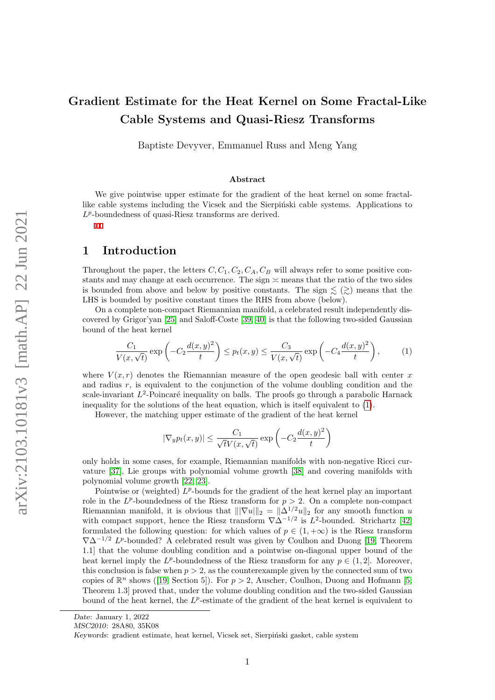# Gradient Estimate for the Heat Kernel on Some Fractal-Like Cable Systems and Quasi-Riesz Transforms

Baptiste Devyver, Emmanuel Russ and Meng Yang

#### Abstract

We give pointwise upper estimate for the gradient of the heat kernel on some fractallike cable systems including the Vicsek and the Sierpiński cable systems. Applications to  $L^p$ -boundedness of quasi-Riesz transforms are derived.

### 1 Introduction

Throughout the paper, the letters  $C, C_1, C_2, C_A, C_B$  will always refer to some positive constants and may change at each occurrence. The sign  $\approx$  means that the ratio of the two sides is bounded from above and below by positive constants. The sign  $\leqslant$   $\geqslant$   $\geqslant$  means that the LHS is bounded by positive constant times the RHS from above (below).

On a complete non-compact Riemannian manifold, a celebrated result independently discovered by Grigor'yan [\[25\]](#page-29-0) and Saloff-Coste [\[39,](#page-29-1) [40\]](#page-29-2) is that the following two-sided Gaussian bound of the heat kernel

<span id="page-0-0"></span>
$$
\frac{C_1}{V(x,\sqrt{t})} \exp\left(-C_2 \frac{d(x,y)^2}{t}\right) \le p_t(x,y) \le \frac{C_3}{V(x,\sqrt{t})} \exp\left(-C_4 \frac{d(x,y)^2}{t}\right),\tag{1}
$$

where  $V(x, r)$  denotes the Riemannian measure of the open geodesic ball with center x and radius  $r$ , is equivalent to the conjunction of the volume doubling condition and the scale-invariant  $L^2$ -Poincaré inequality on balls. The proofs go through a parabolic Harnack inequality for the solutions of the heat equation, which is itself equivalent to [\(1\)](#page-0-0).

However, the matching upper estimate of the gradient of the heat kernel

$$
|\nabla_y p_t(x,y)| \le \frac{C_1}{\sqrt{t}V(x,\sqrt{t})} \exp\left(-C_2 \frac{d(x,y)^2}{t}\right)
$$

only holds in some cases, for example, Riemannian manifolds with non-negative Ricci curvature [\[37\]](#page-29-3), Lie groups with polynomial volume growth [\[38\]](#page-29-4) and covering manifolds with polynomial volume growth [\[22,](#page-28-0) [23\]](#page-28-1).

Pointwise or (weighted)  $L^p$ -bounds for the gradient of the heat kernel play an important role in the  $L^p$ -boundedness of the Riesz transform for  $p > 2$ . On a complete non-compact Riemannian manifold, it is obvious that  $\|\nabla u\|_2 = \|\Delta^{1/2}u\|_2$  for any smooth function u with compact support, hence the Riesz transform  $\nabla \Delta^{-1/2}$  is  $L^2$ -bounded. Strichartz [\[42\]](#page-29-5) formulated the following question: for which values of  $p \in (1, +\infty)$  is the Riesz transform  $\nabla \Delta^{-1/2} L^p$ -bounded? A celebrated result was given by Coulhon and Duong [\[19,](#page-28-2) Theorem 1.1] that the volume doubling condition and a pointwise on-diagonal upper bound of the heat kernel imply the  $L^p$ -boundedness of the Riesz transform for any  $p \in (1, 2]$ . Moreover, this conclusion is false when  $p > 2$ , as the counterexample given by the connected sum of two copiesof  $\mathbb{R}^n$  shows ([\[19,](#page-28-2) Section 5]). For  $p > 2$ , Auscher, Coulhon, Duong and Hofmann [\[5,](#page-28-3) Theorem 1.3] proved that, under the volume doubling condition and the two-sided Gaussian bound of the heat kernel, the  $L^p$ -estimate of the gradient of the heat kernel is equivalent to

Date: January 1, 2022

MSC2010: 28A80, 35K08

Keywords: gradient estimate, heat kernel, Vicsek set, Sierpiński gasket, cable system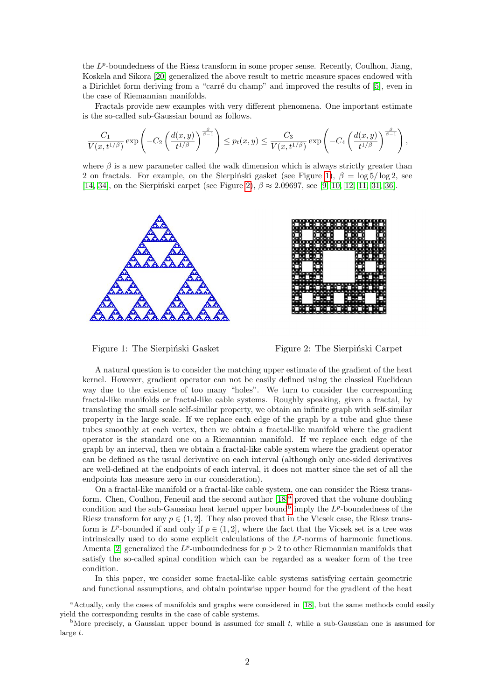the  $L^p$ -boundedness of the Riesz transform in some proper sense. Recently, Coulhon, Jiang, Koskela and Sikora [\[20\]](#page-28-4) generalized the above result to metric measure spaces endowed with a Dirichlet form deriving from a "carré du champ" and improved the results of [\[5\]](#page-28-3), even in the case of Riemannian manifolds.

Fractals provide new examples with very different phenomena. One important estimate is the so-called sub-Gaussian bound as follows.

$$
\frac{C_1}{V(x,t^{1/\beta})}\exp\left(-C_2\left(\frac{d(x,y)}{t^{1/\beta}}\right)^{\frac{\beta}{\beta-1}}\right)\le p_t(x,y)\le \frac{C_3}{V(x,t^{1/\beta})}\exp\left(-C_4\left(\frac{d(x,y)}{t^{1/\beta}}\right)^{\frac{\beta}{\beta-1}}\right),
$$

where  $\beta$  is a new parameter called the walk dimension which is always strictly greater than 2 on fractals. For example, on the Sierpiński gasket (see Figure [1\)](#page-1-0),  $\beta = \log 5 / \log 2$ , see [\[14,](#page-28-5) [34\]](#page-29-6), on the Sierpinski carpet (see Figure [2\)](#page-1-0),  $\beta \approx 2.09697$ , see [\[9,](#page-28-6) [10,](#page-28-7) [12,](#page-28-8) [11,](#page-28-9) [31,](#page-29-7) [36\]](#page-29-8).

<span id="page-1-0"></span>





A natural question is to consider the matching upper estimate of the gradient of the heat kernel. However, gradient operator can not be easily defined using the classical Euclidean way due to the existence of too many "holes". We turn to consider the corresponding fractal-like manifolds or fractal-like cable systems. Roughly speaking, given a fractal, by translating the small scale self-similar property, we obtain an infinite graph with self-similar property in the large scale. If we replace each edge of the graph by a tube and glue these tubes smoothly at each vertex, then we obtain a fractal-like manifold where the gradient operator is the standard one on a Riemannian manifold. If we replace each edge of the graph by an interval, then we obtain a fractal-like cable system where the gradient operator can be defined as the usual derivative on each interval (although only one-sided derivatives are well-defined at the endpoints of each interval, it does not matter since the set of all the endpoints has measure zero in our consideration).

On a fractal-like manifold or a fractal-like cable system, one can consider the Riesz trans-form. Chen, Coulhon, Feneuil and the second author [\[18\]](#page-28-10)<sup>[a](#page-1-1)</sup> proved that the volume doubling condition and the su[b](#page-1-2)-Gaussian heat kernel upper bound<sup>b</sup> imply the  $L^p$ -boundedness of the Riesz transform for any  $p \in (1, 2]$ . They also proved that in the Vicsek case, the Riesz transform is  $L^p$ -bounded if and only if  $p \in (1, 2]$ , where the fact that the Vicsek set is a tree was intrinsically used to do some explicit calculations of the  $L^p$ -norms of harmonic functions. Amenta [\[2\]](#page-28-11) generalized the  $L^p$ -unboundedness for  $p > 2$  to other Riemannian manifolds that satisfy the so-called spinal condition which can be regarded as a weaker form of the tree condition.

In this paper, we consider some fractal-like cable systems satisfying certain geometric and functional assumptions, and obtain pointwise upper bound for the gradient of the heat

<span id="page-1-1"></span><sup>&</sup>lt;sup>a</sup>Actually, only the cases of manifolds and graphs were considered in [\[18\]](#page-28-10), but the same methods could easily yield the corresponding results in the case of cable systems.

<span id="page-1-2"></span><sup>&</sup>lt;sup>b</sup>More precisely, a Gaussian upper bound is assumed for small t, while a sub-Gaussian one is assumed for large t.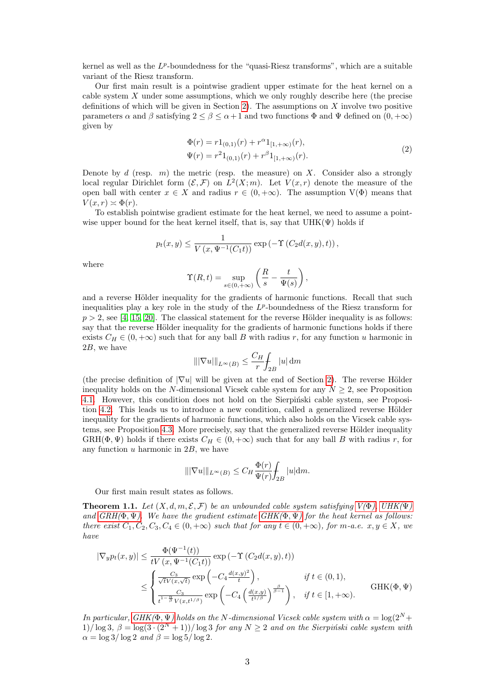kernel as well as the  $L^p$ -boundedness for the "quasi-Riesz transforms", which are a suitable variant of the Riesz transform.

Our first main result is a pointwise gradient upper estimate for the heat kernel on a cable system  $X$  under some assumptions, which we only roughly describe here (the precise definitions of which will be given in Section [2\)](#page-5-0). The assumptions on  $X$  involve two positive parameters  $\alpha$  and  $\beta$  satisfying  $2 \leq \beta \leq \alpha+1$  and two functions  $\Phi$  and  $\Psi$  defined on  $(0, +\infty)$ given by

$$
\Phi(r) = r1_{(0,1)}(r) + r^{\alpha}1_{[1,+\infty)}(r),
$$
  
\n
$$
\Psi(r) = r^{2}1_{(0,1)}(r) + r^{\beta}1_{[1,+\infty)}(r).
$$
\n(2)

<span id="page-2-2"></span>Denote by  $d$  (resp.  $m$ ) the metric (resp. the measure) on X. Consider also a strongly local regular Dirichlet form  $(\mathcal{E}, \mathcal{F})$  on  $L^2(X; m)$ . Let  $V(x,r)$  denote the measure of the open ball with center  $x \in X$  and radius  $r \in (0, +\infty)$ . The assumption  $V(\Phi)$  means that  $V(x,r) \approx \Phi(r)$ .

To establish pointwise gradient estimate for the heat kernel, we need to assume a pointwise upper bound for the heat kernel itself, that is, say that  $UHK(\Psi)$  holds if

$$
p_t(x,y) \leq \frac{1}{V(x,\Psi^{-1}(C_1t))} \exp(-\Upsilon(C_2d(x,y),t)),
$$

where

$$
\Upsilon(R,t) = \sup_{s \in (0,+\infty)} \left( \frac{R}{s} - \frac{t}{\Psi(s)} \right),\,
$$

and a reverse Hölder inequality for the gradients of harmonic functions. Recall that such inequalities play a key role in the study of the  $L^p$ -boundedness of the Riesz transform for  $p > 2$ , see [\[4,](#page-28-12) [15,](#page-28-13) [20\]](#page-28-4). The classical statement for the reverse Hölder inequality is as follows: say that the reverse Hölder inequality for the gradients of harmonic functions holds if there exists  $C_H \in (0, +\infty)$  such that for any ball B with radius r, for any function u harmonic in 2B, we have

$$
\||\nabla u|\|_{L^{\infty}(B)} \le \frac{C_H}{r} \int_{2B} |u| \, \mathrm{d} m
$$

(the precise definition of  $|\nabla u|$  will be given at the end of Section [2\)](#page-5-0). The reverse Hölder inequality holds on the N-dimensional Vicsek cable system for any  $N \geq 2$ , see Proposition [4.1.](#page-17-0) However, this condition does not hold on the Sierpinski cable system, see Proposi-tion [4.2.](#page-18-0) This leads us to introduce a new condition, called a generalized reverse Hölder inequality for the gradients of harmonic functions, which also holds on the Vicsek cable sys-tems, see Proposition [4.3.](#page-18-1) More precisely, say that the generalized reverse Hölder inequality GRH( $\Phi, \Psi$ ) holds if there exists  $C_H \in (0, +\infty)$  such that for any ball B with radius r, for any function  $u$  harmonic in  $2B$ , we have

<span id="page-2-0"></span>
$$
\|\nabla u\|\|_{L^{\infty}(B)} \leq C_H \frac{\Phi(r)}{\Psi(r)} \int_{2B} |u| \mathrm{d} m.
$$

Our first main result states as follows.

<span id="page-2-1"></span>**Theorem 1.1.** Let  $(X, d, m, \mathcal{E}, \mathcal{F})$  be an unbounded cable system satisfying  $V(\Phi)$ . UHK $(\Psi)$ and  $GRH(\Phi, \Psi)$ . We have the gradient estimate  $GHK(\Phi, \Psi)$  for the heat kernel as follows: there exist  $C_1, C_2, C_3, C_4 \in (0, +\infty)$  such that for any  $t \in (0, +\infty)$ , for m-a.e.  $x, y \in X$ , we have

$$
|\nabla_y p_t(x,y)| \leq \frac{\Phi(\Psi^{-1}(t))}{tV(x,\Psi^{-1}(C_1t))} \exp\left(-\Upsilon(C_2d(x,y),t)\right)
$$
  

$$
\leq \begin{cases} \frac{C_3}{\sqrt{tV(x,\sqrt{t})}} \exp\left(-C_4\frac{d(x,y)^2}{t}\right), & \text{if } t \in (0,1), \\ \frac{C_3}{t^{1-\frac{\alpha}{\beta}}V(x,t^{1/\beta})} \exp\left(-C_4\left(\frac{d(x,y)}{t^{1/\beta}}\right)^{\frac{\beta}{\beta-1}}\right), & \text{if } t \in [1,+\infty). \end{cases}
$$
GHK( $\Phi$ ,  $\Psi$ )

In particular, [GHK\(](#page-2-0) $\Phi$ ,  $\Psi$ ) holds on the N-dimensional Vicsek cable system with  $\alpha = \log(2^N +$ 1)/  $\log 3$ ,  $\beta = \log(3 \cdot (2^{N} + 1)) / \log 3$  for any  $N \ge 2$  and on the Sierpinski cable system with  $\alpha = \log 3 / \log 2$  and  $\beta = \log 5 / \log 2$ .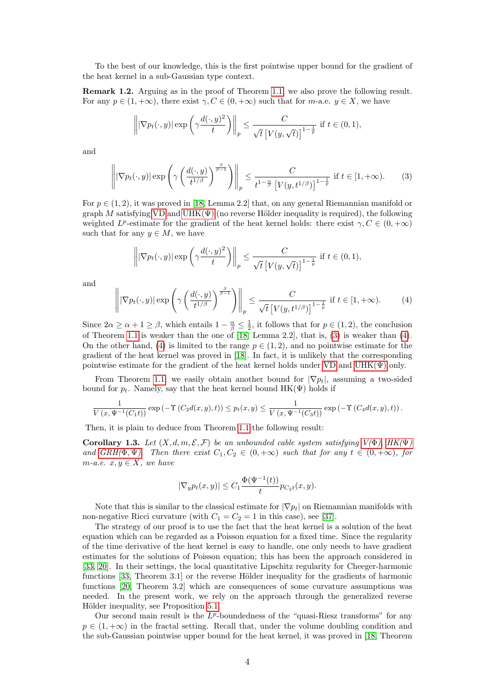To the best of our knowledge, this is the first pointwise upper bound for the gradient of the heat kernel in a sub-Gaussian type context.

Remark 1.2. Arguing as in the proof of Theorem [1.1,](#page-2-1) we also prove the following result. For any  $p \in (1, +\infty)$ , there exist  $\gamma$ ,  $C \in (0, +\infty)$  such that for m-a.e.  $y \in X$ , we have

$$
\left\| |\nabla p_t(\cdot, y)| \exp \left( \gamma \frac{d(\cdot, y)^2}{t} \right) \right\|_p \le \frac{C}{\sqrt{t} \left[ V(y, \sqrt{t}) \right]^{1 - \frac{1}{p}}} \text{ if } t \in (0, 1),
$$

and

<span id="page-3-0"></span>
$$
\left\| |\nabla p_t(\cdot, y)| \exp \left( \gamma \left( \frac{d(\cdot, y)}{t^{1/\beta}} \right)^{\frac{\beta}{\beta - 1}} \right) \right\|_p \le \frac{C}{t^{1 - \frac{\alpha}{\beta}} \left[ V(y, t^{1/\beta}) \right]^{1 - \frac{1}{p}} } \text{ if } t \in [1, +\infty). \tag{3}
$$

For  $p \in (1, 2)$ , it was proved in [\[18,](#page-28-10) Lemma 2.2] that, on any general Riemannian manifold or graph M satisfying [VD](#page-5-2) and UHK $(\Psi)$  (no reverse Hölder inequality is required), the following weighted  $L^p$ -estimate for the gradient of the heat kernel holds: there exist  $\gamma, C \in (0, +\infty)$ such that for any  $y \in M$ , we have

$$
\left\| |\nabla p_t(\cdot, y)| \exp \left( \gamma \frac{d(\cdot, y)^2}{t} \right) \right\|_p \le \frac{C}{\sqrt{t} \left[ V(y, \sqrt{t}) \right]^{1 - \frac{1}{p}}} \text{ if } t \in (0, 1),
$$

and

<span id="page-3-1"></span>
$$
\left\| |\nabla p_t(\cdot, y)| \exp \left( \gamma \left( \frac{d(\cdot, y)}{t^{1/\beta}} \right)^{\frac{\beta}{\beta - 1}} \right) \right\|_p \le \frac{C}{\sqrt{t} \left[ V(y, t^{1/\beta}) \right]^{1 - \frac{1}{p}}} \text{ if } t \in [1, +\infty). \tag{4}
$$

Since  $2\alpha \ge \alpha + 1 \ge \beta$ , which entails  $1 - \frac{\alpha}{\beta} \le \frac{1}{2}$ , it follows that for  $p \in (1, 2)$ , the conclusion of Theorem [1.1](#page-2-1) is weaker than the one of [\[18,](#page-28-10) Lemma 2.2], that is,  $(3)$  is weaker than  $(4)$ . On the other hand, [\(4\)](#page-3-1) is limited to the range  $p \in (1,2)$ , and no pointwise estimate for the gradient of the heat kernel was proved in [\[18\]](#page-28-10). In fact, it is unlikely that the corresponding pointwise estimate for the gradient of the heat kernel holds under [VD](#page-5-2) and  $UHK(\Psi)$  only.

From Theorem [1.1,](#page-2-1) we easily obtain another bound for  $|\nabla p_t|$ , assuming a two-sided bound for  $p_t$ . Namely, say that the heat kernel bound  $HK(\Psi)$  holds if

$$
\frac{1}{V(x,\Psi^{-1}(C_1t))} \exp\left(-\Upsilon\left(C_2d(x,y),t\right)\right) \le p_t(x,y) \le \frac{1}{V(x,\Psi^{-1}(C_3t))} \exp\left(-\Upsilon\left(C_4d(x,y),t\right)\right).
$$

Then, it is plain to deduce from Theorem [1.1](#page-2-1) the following result:

Corollary 1.3. Let  $(X, d, m, \mathcal{E}, \mathcal{F})$  be an unbounded cable system satisfying  $V(\Phi)$ ,  $HK(\Psi)$ and  $GRH(\Phi, \Psi)$ . Then there exist  $C_1, C_2 \in (0, +\infty)$  such that for any  $t \in (0, +\infty)$ , for  $m-a.e.$   $x, y \in X$ , we have

$$
|\nabla_y p_t(x,y)| \le C_1 \frac{\Phi(\Psi^{-1}(t))}{t} p_{C_2 t}(x,y).
$$

Note that this is similar to the classical estimate for  $|\nabla p_t|$  on Riemannian manifolds with non-negative Ricci curvature (with  $C_1 = C_2 = 1$  in this case), see [\[37\]](#page-29-3).

The strategy of our proof is to use the fact that the heat kernel is a solution of the heat equation which can be regarded as a Poisson equation for a fixed time. Since the regularity of the time derivative of the heat kernel is easy to handle, one only needs to have gradient estimates for the solutions of Poisson equation; this has been the approach considered in [\[33,](#page-29-9) [20\]](#page-28-4). In their settings, the local quantitative Lipschitz regularity for Cheeger-harmonic functions  $[33,$  Theorem 3.1] or the reverse Hölder inequality for the gradients of harmonic functions [\[20,](#page-28-4) Theorem 3.2] which are consequences of some curvature assumptions was needed. In the present work, we rely on the approach through the generalized reverse Hölder inequality, see Proposition [5.1.](#page-20-0)

Our second main result is the  $L^p$ -boundedness of the "quasi-Riesz transforms" for any  $p \in (1, +\infty)$  in the fractal setting. Recall that, under the volume doubling condition and the sub-Gaussian pointwise upper bound for the heat kernel, it was proved in [\[18,](#page-28-10) Theorem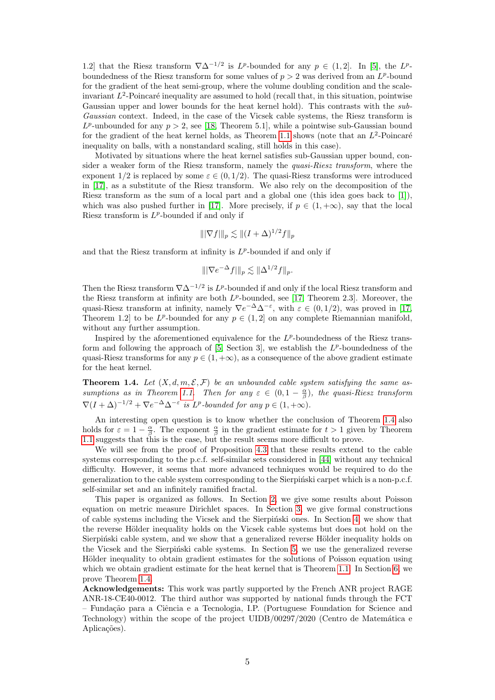1.2] that the Riesz transform  $\nabla \Delta^{-1/2}$  is L<sup>p</sup>-bounded for any  $p \in (1, 2]$ . In [\[5\]](#page-28-3), the L<sup>p</sup>boundedness of the Riesz transform for some values of  $p > 2$  was derived from an  $L^p$ -bound for the gradient of the heat semi-group, where the volume doubling condition and the scaleinvariant  $L^2$ -Poincaré inequality are assumed to hold (recall that, in this situation, pointwise Gaussian upper and lower bounds for the heat kernel hold). This contrasts with the sub-Gaussian context. Indeed, in the case of the Vicsek cable systems, the Riesz transform is  $L^p$ -unbounded for any  $p > 2$ , see [\[18,](#page-28-10) Theorem 5.1], while a pointwise sub-Gaussian bound for the gradient of the heat kernel holds, as Theorem [1.1](#page-2-1) shows (note that an  $L^2$ -Poincaré inequality on balls, with a nonstandard scaling, still holds in this case).

Motivated by situations where the heat kernel satisfies sub-Gaussian upper bound, consider a weaker form of the Riesz transform, namely the *quasi-Riesz transform*, where the exponent  $1/2$  is replaced by some  $\varepsilon \in (0, 1/2)$ . The quasi-Riesz transforms were introduced in [\[17\]](#page-28-14), as a substitute of the Riesz transform. We also rely on the decomposition of the Riesz transform as the sum of a local part and a global one (this idea goes back to [\[1\]](#page-28-15)), which was also pushed further in [\[17\]](#page-28-14). More precisely, if  $p \in (1, +\infty)$ , say that the local Riesz transform is  $L^p$ -bounded if and only if

$$
\||\nabla f||_p \lesssim \|(I+\Delta)^{1/2} f\|_p
$$

and that the Riesz transform at infinity is  $L^p$ -bounded if and only if

$$
\||\nabla e^{-\Delta}f|\|_p \lesssim \|\Delta^{1/2}f\|_p.
$$

Then the Riesz transform  $\nabla \Delta^{-1/2}$  is L<sup>p</sup>-bounded if and only if the local Riesz transform and the Riesz transform at infinity are both  $L^p$ -bounded, see [\[17,](#page-28-14) Theorem 2.3]. Moreover, the quasi-Riesz transform at infinity, namely  $\nabla e^{-\Delta} \Delta^{-\varepsilon}$ , with  $\varepsilon \in (0, 1/2)$ , was proved in [\[17,](#page-28-14) Theorem 1.2 to be  $L^p$ -bounded for any  $p \in (1,2]$  on any complete Riemannian manifold, without any further assumption.

Inspired by the aforementioned equivalence for the  $L^p$ -boundedness of the Riesz transform and following the approach of  $[5,$  Section 3, we establish the  $L^p$ -boundedness of the quasi-Riesz transforms for any  $p \in (1, +\infty)$ , as a consequence of the above gradient estimate for the heat kernel.

<span id="page-4-0"></span>**Theorem 1.4.** Let  $(X, d, m, \mathcal{E}, \mathcal{F})$  be an unbounded cable system satisfying the same as-sumptions as in Theorem [1.1.](#page-2-1) Then for any  $\varepsilon \in (0,1-\frac{\alpha}{\beta})$ , the quasi-Riesz transform  $\nabla (I + \Delta)^{-1/2} + \nabla e^{-\Delta} \Delta^{-\varepsilon}$  is L<sup>p</sup>-bounded for any  $p \in (1, +\infty)$ .

An interesting open question is to know whether the conclusion of Theorem [1.4](#page-4-0) also holds for  $\varepsilon = 1 - \frac{\alpha}{\beta}$ . The exponent  $\frac{\alpha}{\beta}$  in the gradient estimate for  $t > 1$  given by Theorem [1.1](#page-2-1) suggests that this is the case, but the result seems more difficult to prove.

We will see from the proof of Proposition [4.3](#page-18-1) that these results extend to the cable systems corresponding to the p.c.f. self-similar sets considered in [\[44\]](#page-29-10) without any technical difficulty. However, it seems that more advanced techniques would be required to do the generalization to the cable system corresponding to the Sierpinski carpet which is a non-p.c.f. self-similar set and an infinitely ramified fractal.

This paper is organized as follows. In Section [2,](#page-5-0) we give some results about Poisson equation on metric measure Dirichlet spaces. In Section [3,](#page-13-1) we give formal constructions of cable systems including the Vicsek and the Sierpinski ones. In Section [4,](#page-16-0) we show that the reverse Hölder inequality holds on the Vicsek cable systems but does not hold on the Sierpinski cable system, and we show that a generalized reverse Hölder inequality holds on the Vicsek and the Sierpiński cable systems. In Section [5,](#page-20-1) we use the generalized reverse Hölder inequality to obtain gradient estimates for the solutions of Poisson equation using which we obtain gradient estimate for the heat kernel that is Theorem [1.1.](#page-2-1) In Section [6,](#page-26-0) we prove Theorem [1.4.](#page-4-0)

Acknowledgements: This work was partly supported by the French ANR project RAGE ANR-18-CE40-0012. The third author was supported by national funds through the FCT – Funda¸c˜ao para a Ciˆencia e a Tecnologia, I.P. (Portuguese Foundation for Science and Technology) within the scope of the project  $\text{UIDB}/00297/2020$  (Centro de Matemática e Aplicações).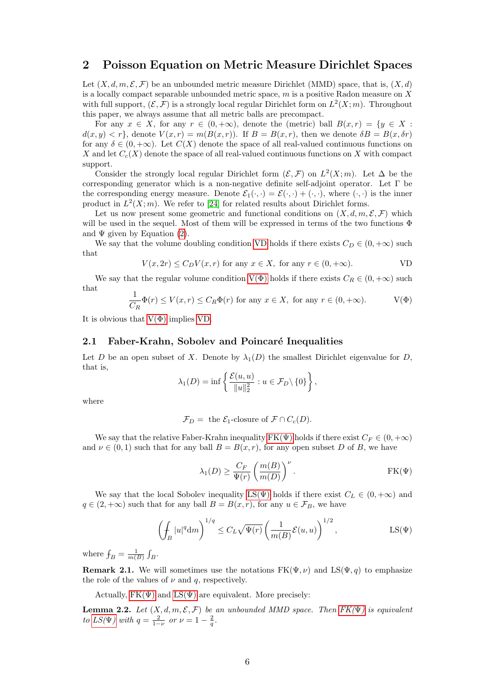### <span id="page-5-0"></span>2 Poisson Equation on Metric Measure Dirichlet Spaces

Let  $(X, d, m, \mathcal{E}, \mathcal{F})$  be an unbounded metric measure Dirichlet (MMD) space, that is,  $(X, d)$ is a locally compact separable unbounded metric space, m is a positive Radon measure on X with full support,  $(\mathcal{E}, \mathcal{F})$  is a strongly local regular Dirichlet form on  $L^2(X; m)$ . Throughout this paper, we always assume that all metric balls are precompact.

For any  $x \in X$ , for any  $r \in (0, +\infty)$ , denote the (metric) ball  $B(x, r) = \{y \in X :$  $d(x, y) < r$ , denote  $V(x, r) = m(B(x, r))$ . If  $B = B(x, r)$ , then we denote  $\delta B = B(x, \delta r)$ for any  $\delta \in (0, +\infty)$ . Let  $C(X)$  denote the space of all real-valued continuous functions on X and let  $C_c(X)$  denote the space of all real-valued continuous functions on X with compact support.

Consider the strongly local regular Dirichlet form  $(\mathcal{E}, \mathcal{F})$  on  $L^2(X; m)$ . Let  $\Delta$  be the corresponding generator which is a non-negative definite self-adjoint operator. Let Γ be the corresponding energy measure. Denote  $\mathcal{E}_1(\cdot,\cdot) = \mathcal{E}(\cdot,\cdot) + (\cdot,\cdot)$ , where  $(\cdot,\cdot)$  is the inner product in  $L^2(X; m)$ . We refer to [\[24\]](#page-29-11) for related results about Dirichlet forms.

Let us now present some geometric and functional conditions on  $(X, d, m, \mathcal{E}, \mathcal{F})$  which will be used in the sequel. Most of them will be expressed in terms of the two functions  $\Phi$ and  $\Psi$  given by Equation [\(2\)](#page-2-2).

We say that the volume doubling condition [VD](#page-5-2) holds if there exists  $C_D \in (0, +\infty)$  such that

$$
V(x, 2r) \le C_D V(x, r) \text{ for any } x \in X, \text{ for any } r \in (0, +\infty).
$$

We say that the regular volume condition  $V(\Phi)$  holds if there exists  $C_R \in (0, +\infty)$  such that

$$
\frac{1}{C_R}\Phi(r) \le V(x,r) \le C_R\Phi(r) \text{ for any } x \in X, \text{ for any } r \in (0,+\infty). \qquad \qquad V(\Phi)
$$

It is obvious that  $V(\Phi)$  implies [VD.](#page-5-2)

#### 2.1 Faber-Krahn, Sobolev and Poincaré Inequalities

Let D be an open subset of X. Denote by  $\lambda_1(D)$  the smallest Dirichlet eigenvalue for D, that is,

<span id="page-5-2"></span><span id="page-5-1"></span>
$$
\lambda_1(D) = \inf \left\{ \frac{\mathcal{E}(u, u)}{\|u\|_2^2} : u \in \mathcal{F}_D \setminus \{0\} \right\},\
$$

where

$$
\mathcal{F}_D
$$
 = the  $\mathcal{E}_1$ -closure of  $\mathcal{F} \cap C_c(D)$ .

We say that the relative Faber-Krahn inequality  $FK(\Psi)$  holds if there exist  $C_F \in (0, +\infty)$ and  $\nu \in (0,1)$  such that for any ball  $B = B(x,r)$ , for any open subset D of B, we have

<span id="page-5-5"></span><span id="page-5-4"></span><span id="page-5-3"></span>
$$
\lambda_1(D) \ge \frac{C_F}{\Psi(r)} \left( \frac{m(B)}{m(D)} \right)^{\nu} .
$$
 FK $(\Psi)$ 

We say that the local Sobolev inequality LS( $\Psi$ ) holds if there exist  $C_L \in (0, +\infty)$  and  $q \in (2, +\infty)$  such that for any ball  $B = B(x, r)$ , for any  $u \in \mathcal{F}_B$ , we have

<span id="page-5-6"></span>
$$
\left(\oint_B |u|^q \mathrm{d}m\right)^{1/q} \leq C_L \sqrt{\Psi(r)} \left(\frac{1}{m(B)} \mathcal{E}(u, u)\right)^{1/2}, \qquad \text{LS}(\Psi)
$$

where  $f_B = \frac{1}{m(B)} \int_B$ .

**Remark 2.1.** We will sometimes use the notations  $FK(\Psi, \nu)$  and  $LS(\Psi, q)$  to emphasize the role of the values of  $\nu$  and q, respectively.

Actually,  $FK(\Psi)$  and  $LS(\Psi)$  are equivalent. More precisely:

**Lemma 2.2.** Let  $(X, d, m, \mathcal{E}, \mathcal{F})$  be an unbounded MMD space. Then  $FK(\Psi)$  is equivalent to [LS\(](#page-5-4) $\Psi$ ) with  $q = \frac{2}{1-\nu}$  or  $\nu = 1 - \frac{2}{q}$ .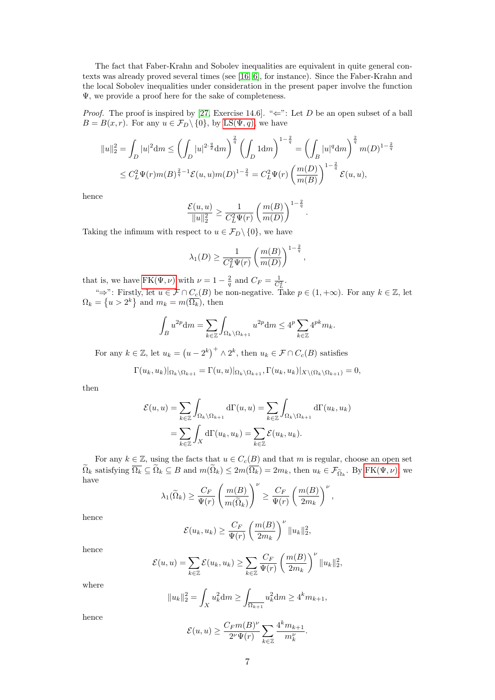The fact that Faber-Krahn and Sobolev inequalities are equivalent in quite general contexts was already proved several times (see [\[16,](#page-28-16) [6\]](#page-28-17), for instance). Since the Faber-Krahn and the local Sobolev inequalities under consideration in the present paper involve the function Ψ, we provide a proof here for the sake of completeness.

*Proof.* The proof is inspired by [\[27,](#page-29-12) Exercise 14.6]. " $\Leftarrow$ ": Let D be an open subset of a ball  $B = B(x, r)$ . For any  $u \in \mathcal{F}_D \setminus \{0\}$ , by LS( $\Psi, q$ ), we have

$$
||u||_2^2 = \int_D |u|^2 dm \le \left(\int_D |u|^{2\cdot\frac{q}{2}} dm\right)^{\frac{2}{q}} \left(\int_D 1 dm\right)^{1-\frac{2}{q}} = \left(\int_B |u|^q dm\right)^{\frac{2}{q}} m(D)^{1-\frac{2}{q}}
$$
  

$$
\le C_L^2 \Psi(r) m(B)^{\frac{2}{q}-1} \mathcal{E}(u, u) m(D)^{1-\frac{2}{q}} = C_L^2 \Psi(r) \left(\frac{m(D)}{m(B)}\right)^{1-\frac{2}{q}} \mathcal{E}(u, u),
$$

hence

$$
\frac{\mathcal{E}(u, u)}{\|u\|_2^2} \ge \frac{1}{C_L^2 \Psi(r)} \left(\frac{m(B)}{m(D)}\right)^{1-\frac{2}{q}}.
$$

Taking the infimum with respect to  $u \in \mathcal{F}_D \setminus \{0\}$ , we have

$$
\lambda_1(D) \ge \frac{1}{C_L^2 \Psi(r)} \left(\frac{m(B)}{m(D)}\right)^{1-\frac{2}{q}},
$$

that is, we have  $FK(\Psi, \nu)$  with  $\nu = 1 - \frac{2}{q}$  and  $C_F = \frac{1}{C_L^2}$ .

" $\Rightarrow$ ": Firstly, let  $u \in \mathcal{F} \cap C_c(B)$  be non-negative. Take  $p \in (1, +\infty)$ . For any  $k \in \mathbb{Z}$ , let  $\Omega_k = \left\{ u > 2^k \right\}$  and  $m_k = m(\overline{\Omega_k})$ , then

$$
\int_B u^{2p} \mathrm{d}m = \sum_{k \in \mathbb{Z}} \int_{\Omega_k \setminus \Omega_{k+1}} u^{2p} \mathrm{d}m \le 4^p \sum_{k \in \mathbb{Z}} 4^{pk} m_k.
$$

For any  $k \in \mathbb{Z}$ , let  $u_k = (u - 2^k)^+ \wedge 2^k$ , then  $u_k \in \mathcal{F} \cap C_c(B)$  satisfies

$$
\Gamma(u_k, u_k)|_{\Omega_k \setminus \Omega_{k+1}} = \Gamma(u, u)|_{\Omega_k \setminus \Omega_{k+1}}, \Gamma(u_k, u_k)|_{X \setminus (\Omega_k \setminus \Omega_{k+1})} = 0,
$$

then

$$
\mathcal{E}(u, u) = \sum_{k \in \mathbb{Z}} \int_{\Omega_k \setminus \Omega_{k+1}} d\Gamma(u, u) = \sum_{k \in \mathbb{Z}} \int_{\Omega_k \setminus \Omega_{k+1}} d\Gamma(u_k, u_k)
$$

$$
= \sum_{k \in \mathbb{Z}} \int_X d\Gamma(u_k, u_k) = \sum_{k \in \mathbb{Z}} \mathcal{E}(u_k, u_k).
$$

For any  $k \in \mathbb{Z}$ , using the facts that  $u \in C_c(B)$  and that m is regular, choose an open set  $\Omega_k$  satisfying  $\overline{\Omega_k} \subseteq \Omega_k \subseteq B$  and  $m(\Omega_k) \leq 2m(\overline{\Omega_k}) = 2m_k$ , then  $u_k \in \mathcal{F}_{\widetilde{\Omega}_k}$ . By  $\text{FK}(\Psi, \nu)$ , we have

$$
\lambda_1(\widetilde{\Omega}_k) \geq \frac{C_F}{\Psi(r)} \left( \frac{m(B)}{m(\widetilde{\Omega}_k)} \right)^{\nu} \geq \frac{C_F}{\Psi(r)} \left( \frac{m(B)}{2m_k} \right)^{\nu}
$$

,

hence

$$
\mathcal{E}(u_k, u_k) \ge \frac{C_F}{\Psi(r)} \left(\frac{m(B)}{2m_k}\right)^{\nu} ||u_k||_2^2,
$$

hence

$$
\mathcal{E}(u, u) = \sum_{k \in \mathbb{Z}} \mathcal{E}(u_k, u_k) \ge \sum_{k \in \mathbb{Z}} \frac{C_F}{\Psi(r)} \left(\frac{m(B)}{2m_k}\right)^{\nu} ||u_k||_2^2,
$$

where

$$
||u_k||_2^2 = \int_X u_k^2 dm \ge \int_{\overline{\Omega_{k+1}}} u_k^2 dm \ge 4^k m_{k+1},
$$

hence

$$
\mathcal{E}(u, u) \ge \frac{C_F m(B)^{\nu}}{2^{\nu} \Psi(r)} \sum_{k \in \mathbb{Z}} \frac{4^k m_{k+1}}{m_k^{\nu}}.
$$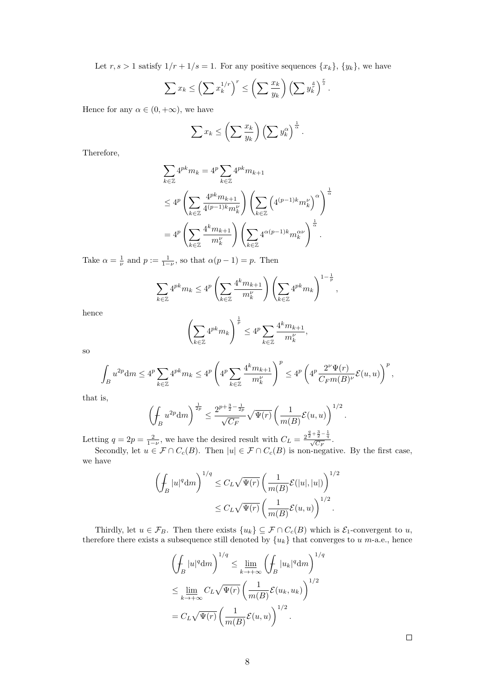Let  $r, s > 1$  satisfy  $1/r + 1/s = 1$ . For any positive sequences  $\{x_k\}, \{y_k\}$ , we have

$$
\sum x_k \le \left(\sum x_k^{1/r}\right)^r \le \left(\sum \frac{x_k}{y_k}\right) \left(\sum y_k^{\frac{s}{r}}\right)^{\frac{r}{s}}.
$$

Hence for any  $\alpha \in (0, +\infty)$ , we have

$$
\sum x_k \leq \left(\sum \frac{x_k}{y_k}\right) \left(\sum y_k^{\alpha}\right)^{\frac{1}{\alpha}}.
$$

Therefore,

$$
\sum_{k\in\mathbb{Z}} 4^{pk} m_k = 4^p \sum_{k\in\mathbb{Z}} 4^{pk} m_{k+1}
$$
\n
$$
\leq 4^p \left( \sum_{k\in\mathbb{Z}} \frac{4^{pk} m_{k+1}}{4^{(p-1)k} m_k^{\nu}} \right) \left( \sum_{k\in\mathbb{Z}} \left( 4^{(p-1)k} m_k^{\nu} \right)^{\alpha} \right)^{\frac{1}{\alpha}}
$$
\n
$$
= 4^p \left( \sum_{k\in\mathbb{Z}} \frac{4^k m_{k+1}}{m_k^{\nu}} \right) \left( \sum_{k\in\mathbb{Z}} 4^{\alpha(p-1)k} m_k^{\alpha\nu} \right)^{\frac{1}{\alpha}}.
$$

Take  $\alpha = \frac{1}{\nu}$  and  $p := \frac{1}{1-\nu}$ , so that  $\alpha(p-1) = p$ . Then

$$
\sum_{k\in\mathbb{Z}} 4^{pk} m_k \le 4^p \left( \sum_{k\in\mathbb{Z}} \frac{4^k m_{k+1}}{m_k^{\nu}} \right) \left( \sum_{k\in\mathbb{Z}} 4^{pk} m_k \right)^{1-\frac{1}{p}},
$$

hence

$$
\left(\sum_{k\in\mathbb{Z}}4^{pk}m_k\right)^{\frac{1}{p}}\leq 4^p\sum_{k\in\mathbb{Z}}\frac{4^km_{k+1}}{m_k^\nu},
$$

so

$$
\int_{B}u^{2p}\mathrm{d} m\leq 4^{p}\sum_{k\in\mathbb{Z}}4^{pk}m_{k}\leq 4^{p}\left(4^{p}\sum_{k\in\mathbb{Z}}\frac{4^{k}m_{k+1}}{m_{k}^{\nu}}\right)^{p}\leq 4^{p}\left(4^{p}\frac{2^{\nu}\Psi(r)}{C_{F}m(B)^{\nu}}\mathcal{E}(u,u)\right)^{p},
$$

that is,

$$
\left(\oint_{B} u^{2p} \mathrm{d}m\right)^{\frac{1}{2p}} \leq \frac{2^{p+\frac{3}{2}-\frac{1}{2p}}}{\sqrt{C_{F}}} \sqrt{\Psi(r)} \left(\frac{1}{m(B)} \mathcal{E}(u, u)\right)^{1/2}.
$$

Letting  $q = 2p = \frac{2}{1-\nu}$ , we have the desired result with  $C_L = \frac{2^{\frac{q}{2} + \frac{3}{2} - \frac{1}{q}}}{\sqrt{C_F}}$ .

Secondly, let  $u \in \mathcal{F} \cap C_c(B)$ . Then  $|u| \in \mathcal{F} \cap C_c(B)$  is non-negative. By the first case, we have

$$
\left(\int_B |u|^q \mathrm{d}m\right)^{1/q} \leq C_L \sqrt{\Psi(r)} \left(\frac{1}{m(B)} \mathcal{E}(|u|, |u|)\right)^{1/2}
$$

$$
\leq C_L \sqrt{\Psi(r)} \left(\frac{1}{m(B)} \mathcal{E}(u, u)\right)^{1/2}.
$$

Thirdly, let  $u \in \mathcal{F}_B$ . Then there exists  $\{u_k\} \subseteq \mathcal{F} \cap C_c(B)$  which is  $\mathcal{E}_1$ -convergent to u, therefore there exists a subsequence still denoted by  ${u<sub>k</sub>}$  that converges to u m-a.e., hence

$$
\left(\int_{B} |u|^{q} dm\right)^{1/q} \leq \lim_{k \to +\infty} \left(\int_{B} |u_{k}|^{q} dm\right)^{1/q}
$$
\n
$$
\leq \lim_{k \to +\infty} C_{L} \sqrt{\Psi(r)} \left(\frac{1}{m(B)} \mathcal{E}(u_{k}, u_{k})\right)^{1/2}
$$
\n
$$
= C_{L} \sqrt{\Psi(r)} \left(\frac{1}{m(B)} \mathcal{E}(u, u)\right)^{1/2}.
$$

 $\Box$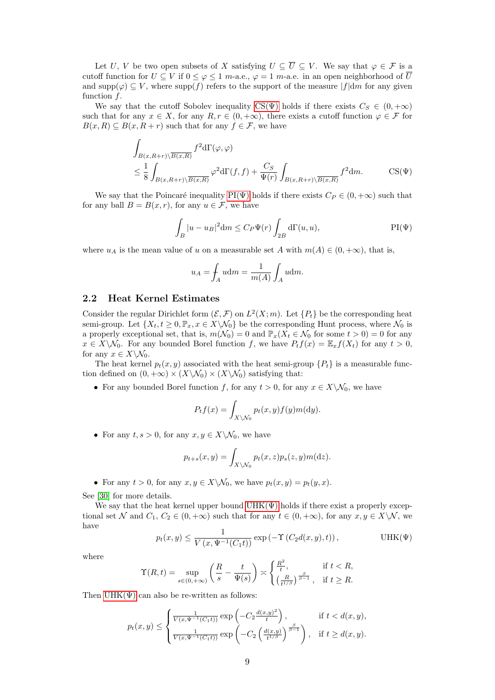Let U, V be two open subsets of X satisfying  $U \subseteq \overline{U} \subseteq V$ . We say that  $\varphi \in \mathcal{F}$  is a cutoff function for  $U \subseteq V$  if  $0 \leq \varphi \leq 1$  m-a.e.,  $\varphi = 1$  m-a.e. in an open neighborhood of  $\overline{U}$ and supp $(\varphi) \subseteq V$ , where supp $(f)$  refers to the support of the measure  $|f|$ dm for any given function f.

We say that the cutoff Sobolev inequality CS( $\Psi$ ) holds if there exists  $C_S \in (0, +\infty)$ such that for any  $x \in X$ , for any  $R, r \in (0, +\infty)$ , there exists a cutoff function  $\varphi \in \mathcal{F}$  for  $B(x, R) \subseteq B(x, R + r)$  such that for any  $f \in \mathcal{F}$ , we have

$$
\int_{B(x,R+r)\backslash\overline{B(x,R)}} f^{2}d\Gamma(\varphi,\varphi)
$$
\n
$$
\leq \frac{1}{8} \int_{B(x,R+r)\backslash\overline{B(x,R)}} \varphi^{2}d\Gamma(f,f) + \frac{C_{S}}{\Psi(r)} \int_{B(x,R+r)\backslash\overline{B(x,R)}} f^{2}dm. \qquad \text{CS}(\Psi)
$$

We say that the Poincaré inequality PI( $\Psi$ ) holds if there exists  $C_P \in (0, +\infty)$  such that for any ball  $B = B(x, r)$ , for any  $u \in \mathcal{F}$ , we have

<span id="page-8-1"></span>
$$
\int_{B} |u - u_{B}|^{2} dm \leq C_{P} \Psi(r) \int_{2B} d\Gamma(u, u), \qquad \text{PI}(\Psi)
$$

where  $u_A$  is the mean value of u on a measurable set A with  $m(A) \in (0, +\infty)$ , that is,

<span id="page-8-2"></span>
$$
u_A = \int_A u \mathrm{d}m = \frac{1}{m(A)} \int_A u \mathrm{d}m.
$$

#### <span id="page-8-3"></span>2.2 Heat Kernel Estimates

Consider the regular Dirichlet form  $(\mathcal{E}, \mathcal{F})$  on  $L^2(X; m)$ . Let  $\{P_t\}$  be the corresponding heat semi-group. Let  $\{X_t, t \geq 0, \mathbb{P}_x, x \in X \setminus \mathcal{N}_0\}$  be the corresponding Hunt process, where  $\mathcal{N}_0$  is a properly exceptional set, that is,  $m(\mathcal{N}_0) = 0$  and  $\mathbb{P}_x(X_t \in \mathcal{N}_0$  for some  $t > 0) = 0$  for any  $x \in X \backslash \mathcal{N}_0$ . For any bounded Borel function f, we have  $P_t f(x) = \mathbb{E}_x f(X_t)$  for any  $t > 0$ , for any  $x \in X \backslash \mathcal{N}_0$ .

The heat kernel  $p_t(x, y)$  associated with the heat semi-group  $\{P_t\}$  is a measurable function defined on  $(0, +\infty) \times (X \backslash \mathcal{N}_0) \times (X \backslash \mathcal{N}_0)$  satisfying that:

• For any bounded Borel function f, for any  $t > 0$ , for any  $x \in X \setminus N_0$ , we have

$$
P_t f(x) = \int_{X \setminus \mathcal{N}_0} p_t(x, y) f(y) m(dy).
$$

• For any  $t, s > 0$ , for any  $x, y \in X \backslash \mathcal{N}_0$ , we have

<span id="page-8-0"></span>
$$
p_{t+s}(x,y) = \int_{X \setminus \mathcal{N}_0} p_t(x,z) p_s(z,y) m(\mathrm{d}z).
$$

• For any  $t > 0$ , for any  $x, y \in X \backslash \mathcal{N}_0$ , we have  $p_t(x, y) = p_t(y, x)$ .

See [\[30\]](#page-29-13) for more details.

We say that the heat kernel upper bound  $UHK(\Psi)$  holds if there exist a properly exceptional set N and  $C_1, C_2 \in (0, +\infty)$  such that for any  $t \in (0, +\infty)$ , for any  $x, y \in X \setminus \mathcal{N}$ , we have

$$
p_t(x,y) \le \frac{1}{V(x,\Psi^{-1}(C_1t))} \exp\left(-\Upsilon\left(C_2d(x,y),t\right)\right), \qquad \text{UHK}(\Psi)
$$

where

$$
\Upsilon(R,t) = \sup_{s \in (0,+\infty)} \left( \frac{R}{s} - \frac{t}{\Psi(s)} \right) \asymp \begin{cases} \frac{R^2}{t}, & \text{if } t < R, \\ \left( \frac{R}{t^{1/\beta}} \right)^{\frac{\beta}{\beta-1}}, & \text{if } t \ge R. \end{cases}
$$

Then  $UHK(\Psi)$  can also be re-written as follows:

$$
p_t(x,y) \le \begin{cases} \frac{1}{V(x,\Psi^{-1}(C_1t))} \exp\left(-C_2 \frac{d(x,y)^2}{t}\right), & \text{if } t < d(x,y),\\ \frac{1}{V(x,\Psi^{-1}(C_1t))} \exp\left(-C_2 \left(\frac{d(x,y)}{t^{1/\beta}}\right)^{\frac{\beta}{\beta-1}}\right), & \text{if } t \ge d(x,y). \end{cases}
$$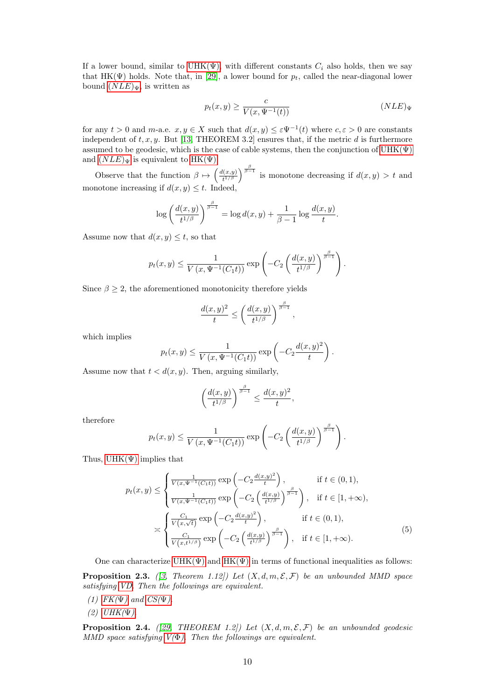<span id="page-9-0"></span>If a lower bound, similar to UHK $(\Psi)$ , with different constants  $C_i$  also holds, then we say that HK( $\Psi$ ) holds. Note that, in [\[29\]](#page-29-14), a lower bound for  $p_t$ , called the near-diagonal lower bound  $(NLE)\Psi$  $(NLE)\Psi$  $(NLE)\Psi$ , is written as

<span id="page-9-1"></span>
$$
p_t(x,y) \ge \frac{c}{V(x,\Psi^{-1}(t))}
$$
 (NLE)<sub>Y</sub>

for any  $t > 0$  and  $m$ -a.e.  $x, y \in X$  such that  $d(x, y) \leq \varepsilon \Psi^{-1}(t)$  where  $c, \varepsilon > 0$  are constants independent of  $t, x, y$ . But [\[13,](#page-28-18) THEOREM 3.2] ensures that, if the metric d is furthermore assumed to be geodesic, which is the case of cable systems, then the conjunction of  $UHK(\Psi)$ and  $(NLE)_{\Psi}$  $(NLE)_{\Psi}$  $(NLE)_{\Psi}$  is equivalent to HK( $\Psi$ ).

Observe that the function  $\beta \mapsto \left(\frac{d(x,y)}{t^{1/\beta}}\right)$  $\frac{d(x,y)}{t^{1/\beta}}$  is monotone decreasing if  $d(x,y) > t$  and monotone increasing if  $d(x, y) \leq t$ . Indeed,

$$
\log\left(\frac{d(x,y)}{t^{1/\beta}}\right)^{\frac{\beta}{\beta-1}} = \log d(x,y) + \frac{1}{\beta-1}\log\frac{d(x,y)}{t}.
$$

Assume now that  $d(x, y) \leq t$ , so that

$$
p_t(x,y) \le \frac{1}{V(x,\Psi^{-1}(C_1t))} \exp\left(-C_2\left(\frac{d(x,y)}{t^{1/\beta}}\right)^{\frac{\beta}{\beta-1}}\right).
$$

Since  $\beta \geq 2$ , the aforementioned monotonicity therefore yields

$$
\frac{d(x,y)^2}{t} \le \left(\frac{d(x,y)}{t^{1/\beta}}\right)^{\frac{\beta}{\beta-1}},
$$

which implies

$$
p_t(x, y) \le \frac{1}{V(x, \Psi^{-1}(C_1 t))} \exp\left(-C_2 \frac{d(x, y)^2}{t}\right).
$$

Assume now that  $t < d(x, y)$ . Then, arguing similarly,

<span id="page-9-3"></span>
$$
\left(\frac{d(x,y)}{t^{1/\beta}}\right)^{\frac{\beta}{\beta-1}} \le \frac{d(x,y)^2}{t},
$$

therefore

$$
p_t(x,y) \le \frac{1}{V(x,\Psi^{-1}(C_1t))} \exp\left(-C_2\left(\frac{d(x,y)}{t^{1/\beta}}\right)^{\frac{\beta}{\beta-1}}\right).
$$

Thus,  $UHK(\Psi)$  implies that

$$
p_t(x,y) \leq \begin{cases} \frac{1}{V(x,\Psi^{-1}(C_1t))} \exp\left(-C_2 \frac{d(x,y)^2}{t}\right), & \text{if } t \in (0,1),\\ \frac{1}{V(x,\Psi^{-1}(C_1t))} \exp\left(-C_2 \left(\frac{d(x,y)}{t^{1/\beta}}\right)^{\frac{\beta}{\beta-1}}\right), & \text{if } t \in [1,+\infty), \end{cases}
$$

$$
\geq \begin{cases} \frac{C_1}{V(x,\sqrt{t})} \exp\left(-C_2 \frac{d(x,y)^2}{t}\right), & \text{if } t \in (0,1),\\ \frac{C_1}{V(x,t^{1/\beta})} \exp\left(-C_2 \left(\frac{d(x,y)}{t^{1/\beta}}\right)^{\frac{\beta}{\beta-1}}\right), & \text{if } t \in [1,+\infty). \end{cases}
$$
(5)

<span id="page-9-2"></span>One can characterize UHK $(\Psi)$  and HK $(\Psi)$  in terms of functional inequalities as follows: **Proposition 2.3.** ([\[3,](#page-28-19) Theorem 1.12]) Let  $(X, d, m, \mathcal{E}, \mathcal{F})$  be an unbounded MMD space satisfying [VD.](#page-5-2) Then the followings are equivalent.

- (1)  $FK(\Psi)$  $FK(\Psi)$  and  $CS(\Psi)$ .
- $(2)$  [UHK\(](#page-8-0) $\Psi$ ).

<span id="page-9-4"></span>**Proposition 2.4.** ([\[29,](#page-29-14) THEOREM 1.2]) Let  $(X, d, m, \mathcal{E}, \mathcal{F})$  be an unbounded geodesic MMD space satisfying  $V(\Phi)$ . Then the followings are equivalent.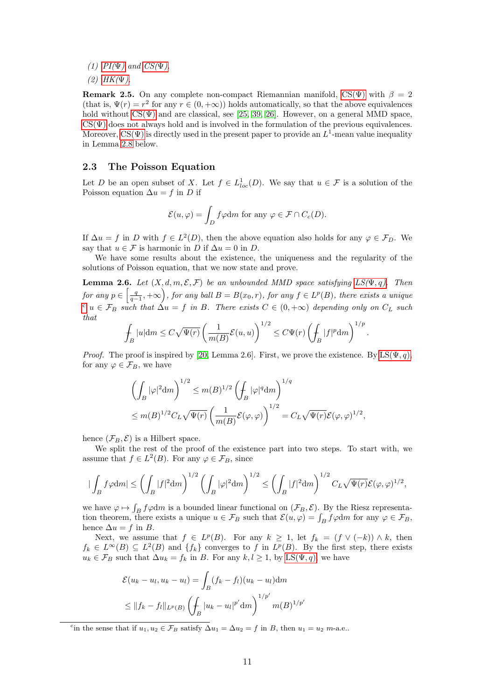(1)  $PI(\Psi)$  $PI(\Psi)$  and  $CS(\Psi)$ .

 $(2)$  [HK\(](#page-9-0) $\Psi$ ).

**Remark 2.5.** On any complete non-compact Riemannian manifold, CS( $\Psi$ ) with  $\beta = 2$ (that is,  $\Psi(r) = r^2$  for any  $r \in (0, +\infty)$ ) holds automatically, so that the above equivalences hold without  $CS(\Psi)$  and are classical, see [\[25,](#page-29-0) [39,](#page-29-1) [26\]](#page-29-15). However, on a general MMD space,  $CS(\Psi)$  does not always hold and is involved in the formulation of the previous equivalences. Moreover,  $CS(\Psi)$  is directly used in the present paper to provide an  $L^1$ -mean value inequality in Lemma [2.8](#page-11-0) below.

#### <span id="page-10-2"></span>2.3 The Poisson Equation

Let D be an open subset of X. Let  $f \in L^1_{loc}(D)$ . We say that  $u \in \mathcal{F}$  is a solution of the Poisson equation  $\Delta u = f$  in D if

$$
\mathcal{E}(u,\varphi) = \int_D f\varphi dm \text{ for any } \varphi \in \mathcal{F} \cap C_c(D).
$$

If  $\Delta u = f$  in D with  $f \in L^2(D)$ , then the above equation also holds for any  $\varphi \in \mathcal{F}_D$ . We say that  $u \in \mathcal{F}$  is harmonic in D if  $\Delta u = 0$  in D.

We have some results about the existence, the uniqueness and the regularity of the solutions of Poisson equation, that we now state and prove.

<span id="page-10-1"></span>**Lemma 2.6.** Let  $(X, d, m, \mathcal{E}, \mathcal{F})$  be an unbounded MMD space satisfying  $LS(\Psi, q)$ . Then for any  $p \in \left[\frac{q}{q-1}, +\infty\right)$ , for any ball  $B = B(x_0, r)$ , for any  $f \in L^p(B)$ , there exists a unique  $c u \in \mathcal{F}_B$  $c u \in \mathcal{F}_B$  such that  $\Delta u = f$  in B. There exists  $C \in (0, +\infty)$  depending only on  $C_L$  such that

$$
\int_B |u| \mathrm{d}m \le C\sqrt{\Psi(r)} \left(\frac{1}{m(B)} \mathcal{E}(u, u)\right)^{1/2} \le C\Psi(r) \left(\int_B |f|^p \mathrm{d}m\right)^{1/p}.
$$

*Proof.* The proof is inspired by [\[20,](#page-28-4) Lemma 2.6]. First, we prove the existence. By  $LS(\Psi, q)$ , for any  $\varphi \in \mathcal{F}_B$ , we have

$$
\left(\int_B |\varphi|^2 dm\right)^{1/2} \le m(B)^{1/2} \left(\int_B |\varphi|^q dm\right)^{1/q}
$$
  

$$
\le m(B)^{1/2} C_L \sqrt{\Psi(r)} \left(\frac{1}{m(B)} \mathcal{E}(\varphi, \varphi)\right)^{1/2} = C_L \sqrt{\Psi(r)} \mathcal{E}(\varphi, \varphi)^{1/2},
$$

hence  $(\mathcal{F}_B, \mathcal{E})$  is a Hilbert space.

We split the rest of the proof of the existence part into two steps. To start with, we assume that  $f \in L^2(B)$ . For any  $\varphi \in \mathcal{F}_B$ , since

$$
|\int_B f\varphi dm| \le \left(\int_B |f|^2 dm\right)^{1/2} \left(\int_B |\varphi|^2 dm\right)^{1/2} \le \left(\int_B |f|^2 dm\right)^{1/2} C_L \sqrt{\Psi(r)} \mathcal{E}(\varphi, \varphi)^{1/2},
$$

we have  $\varphi \mapsto \int_B f\varphi dm$  is a bounded linear functional on  $(\mathcal{F}_B, \mathcal{E})$ . By the Riesz representation theorem, there exists a unique  $u \in \mathcal{F}_B$  such that  $\mathcal{E}(u, \varphi) = \int_B f \varphi dm$  for any  $\varphi \in \mathcal{F}_B$ , hence  $\Delta u = f$  in B.

Next, we assume that  $f \in L^p(B)$ . For any  $k \geq 1$ , let  $f_k = (f \vee (-k)) \wedge k$ , then  $f_k \in L^{\infty}(B) \subseteq L^2(B)$  and  $\{f_k\}$  converges to f in  $L^p(B)$ . By the first step, there exists  $u_k \in \mathcal{F}_B$  such that  $\Delta u_k = f_k$  in B. For any  $k, l \geq 1$ , by  $LS(\Psi, q)$ , we have

$$
\mathcal{E}(u_k - u_l, u_k - u_l) = \int_B (f_k - f_l)(u_k - u_l) dm
$$
  
\n
$$
\leq ||f_k - f_l||_{L^p(B)} \left( \int_B |u_k - u_l|^{p'} dm \right)^{1/p'} m(B)^{1/p'}
$$

<span id="page-10-0"></span><sup>c</sup>in the sense that if  $u_1, u_2 \in \mathcal{F}_B$  satisfy  $\Delta u_1 = \Delta u_2 = f$  in B, then  $u_1 = u_2$  m-a.e.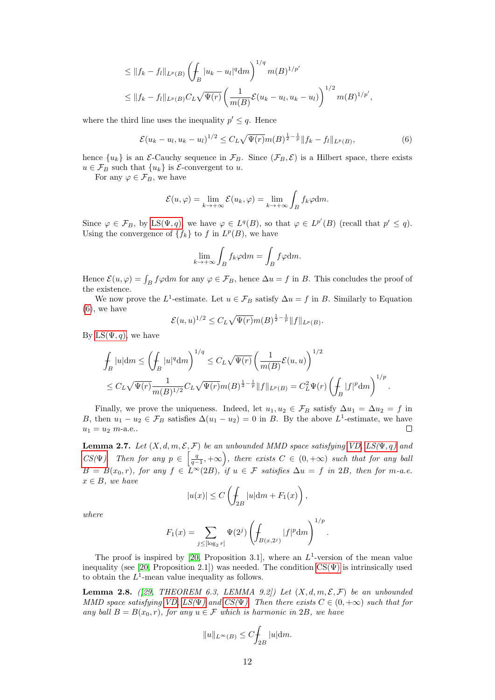$$
\leq ||f_k - f_l||_{L^p(B)} \left( \int_B |u_k - u_l|^q \, dm \right)^{1/q} m(B)^{1/p'}
$$
  

$$
\leq ||f_k - f_l||_{L^p(B)} C_L \sqrt{\Psi(r)} \left( \frac{1}{m(B)} \mathcal{E}(u_k - u_l, u_k - u_l) \right)^{1/2} m(B)^{1/p'},
$$

where the third line uses the inequality  $p' \leq q$ . Hence

<span id="page-11-1"></span>
$$
\mathcal{E}(u_k - u_l, u_k - u_l)^{1/2} \le C_L \sqrt{\Psi(r)} m(B)^{\frac{1}{2} - \frac{1}{p}} \|f_k - f_l\|_{L^p(B)},
$$
\n(6)

hence  $\{u_k\}$  is an E-Cauchy sequence in  $\mathcal{F}_B$ . Since  $(\mathcal{F}_B, \mathcal{E})$  is a Hilbert space, there exists  $u \in \mathcal{F}_B$  such that  $\{u_k\}$  is  $\mathcal{E}$ -convergent to u.

For any  $\varphi \in \mathcal{F}_B$ , we have

$$
\mathcal{E}(u,\varphi) = \lim_{k \to +\infty} \mathcal{E}(u_k,\varphi) = \lim_{k \to +\infty} \int_B f_k \varphi dm.
$$

Since  $\varphi \in \mathcal{F}_B$ , by LS( $\Psi, q$ ), we have  $\varphi \in L^q(B)$ , so that  $\varphi \in L^{p'}(B)$  (recall that  $p' \leq q$ ). Using the convergence of  $\{f_k\}$  to f in  $L^p(B)$ , we have

$$
\lim_{k \to +\infty} \int_B f_k \varphi \mathrm{d}m = \int_B f \varphi \mathrm{d}m.
$$

Hence  $\mathcal{E}(u,\varphi) = \int_B f\varphi dm$  for any  $\varphi \in \mathcal{F}_B$ , hence  $\Delta u = f$  in B. This concludes the proof of the existence.

We now prove the L<sup>1</sup>-estimate. Let  $u \in \mathcal{F}_B$  satisfy  $\Delta u = f$  in B. Similarly to Equation [\(6\)](#page-11-1), we have

$$
\mathcal{E}(u,u)^{1/2} \leq C_L \sqrt{\Psi(r)} m(B)^{\frac{1}{2} - \frac{1}{p}} ||f||_{L^p(B)}.
$$

By LS( $\Psi$ , *q*), we have

$$
\int_{B} |u| dm \leq \left( \int_{B} |u|^{q} dm \right)^{1/q} \leq C_{L} \sqrt{\Psi(r)} \left( \frac{1}{m(B)} \mathcal{E}(u, u) \right)^{1/2} \leq C_{L} \sqrt{\Psi(r)} \frac{1}{m(B)^{1/2}} C_{L} \sqrt{\Psi(r)} m(B)^{\frac{1}{2} - \frac{1}{p}} ||f||_{L^{p}(B)} = C_{L}^{2} \Psi(r) \left( \int_{B} |f|^{p} dm \right)^{1/p} .
$$

Finally, we prove the uniqueness. Indeed, let  $u_1, u_2 \in \mathcal{F}_B$  satisfy  $\Delta u_1 = \Delta u_2 = f$  in B, then  $u_1 - u_2 \in \mathcal{F}_B$  satisfies  $\Delta(u_1 - u_2) = 0$  in B. By the above  $L^1$ -estimate, we have  $u_1 = u_2 \, m$ -a.e..  $\Box$ 

<span id="page-11-2"></span>**Lemma 2.7.** Let  $(X, d, m, \mathcal{E}, \mathcal{F})$  be an unbounded MMD space satisfying [VD,](#page-5-2) [LS\(](#page-5-5) $\Psi$ , q) and  $CS(\Psi)$  $CS(\Psi)$ . Then for any  $p \in \left[\frac{q}{q-1}, +\infty\right)$ , there exists  $C \in (0, +\infty)$  such that for any ball  $B = B(x_0, r)$ , for any  $f \in L^{\infty}(2B)$ , if  $u \in \mathcal{F}$  satisfies  $\Delta u = f$  in 2B, then for m-a.e.  $x \in B$ , we have

$$
|u(x)| \le C \left( \int_{2B} |u| \mathrm{d}m + F_1(x) \right),
$$

where

$$
F_1(x) = \sum_{j \leq [\log_2 r]} \Psi(2^j) \left( \int_{B(x, 2^j)} |f|^p \mathrm{d} m \right)^{1/p}.
$$

The proof is inspired by [\[20,](#page-28-4) Proposition 3.1], where an  $L^1$ -version of the mean value inequality (see [\[20,](#page-28-4) Proposition 2.1]) was needed. The condition  $CS(\Psi)$  is intrinsically used to obtain the  $L^1$ -mean value inequality as follows.

<span id="page-11-0"></span>**Lemma 2.8.** ([\[29,](#page-29-14) THEOREM 6.3, LEMMA 9.2]) Let  $(X, d, m, \mathcal{E}, \mathcal{F})$  be an unbounded MMD space satisfying [VD,](#page-5-2)  $LS(\Psi)$  and  $CS(\Psi)$ . Then there exists  $C \in (0, +\infty)$  such that for any ball  $B = B(x_0, r)$ , for any  $u \in \mathcal{F}$  which is harmonic in 2B, we have

$$
||u||_{L^{\infty}(B)} \leq C \int_{2B} |u| \mathrm{d}m.
$$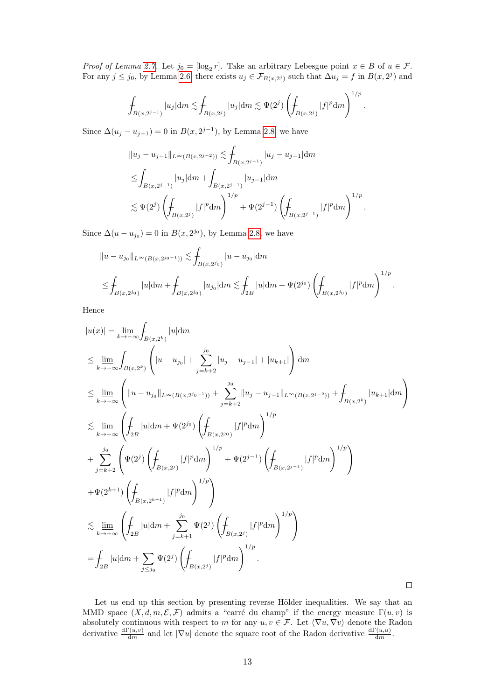*Proof of Lemma [2.7.](#page-11-2)* Let  $j_0 = [\log_2 r]$ . Take an arbitrary Lebesgue point  $x \in B$  of  $u \in \mathcal{F}$ . For any  $j \leq j_0$ , by Lemma [2.6,](#page-10-1) there exists  $u_j \in \mathcal{F}_{B(x,2^j)}$  such that  $\Delta u_j = f$  in  $B(x,2^j)$  and

$$
\int_{B(x,2^{j-1})} |u_j| dm \lesssim \int_{B(x,2^j)} |u_j| dm \lesssim \Psi(2^j) \left( \int_{B(x,2^j)} |f|^p dm \right)^{1/p}.
$$

Since  $\Delta(u_j - u_{j-1}) = 0$  in  $B(x, 2^{j-1})$ , by Lemma [2.8,](#page-11-0) we have

$$
||u_j - u_{j-1}||_{L^{\infty}(B(x, 2^{j-2}))} \lesssim \int_{B(x, 2^{j-1})} |u_j - u_{j-1}| dm
$$
  
\n
$$
\leq \int_{B(x, 2^{j-1})} |u_j| dm + \int_{B(x, 2^{j-1})} |u_{j-1}| dm
$$
  
\n
$$
\lesssim \Psi(2^j) \left( \int_{B(x, 2^j)} |f|^p dm \right)^{1/p} + \Psi(2^{j-1}) \left( \int_{B(x, 2^{j-1})} |f|^p dm \right)^{1/p}.
$$

Since  $\Delta(u - u_{j_0}) = 0$  in  $B(x, 2^{j_0})$ , by Lemma [2.8,](#page-11-0) we have

$$
||u - u_{j_0}||_{L^{\infty}(B(x, 2^{j_0-1}))} \lesssim \int_{B(x, 2^{j_0})} |u - u_{j_0}| dm
$$
  

$$
\leq \int_{B(x, 2^{j_0})} |u| dm + \int_{B(x, 2^{j_0})} |u_{j_0}| dm \lesssim \int_{2B} |u| dm + \Psi(2^{j_0}) \left( \int_{B(x, 2^{j_0})} |f|^p dm \right)^{1/p} .
$$

Hence

$$
|u(x)| = \lim_{k \to \infty} \int_{B(x,2^k)} |u| dm
$$
  
\n
$$
\leq \lim_{k \to \infty} \int_{B(x,2^k)} \left( |u - u_{j_0}| + \sum_{j=k+2}^{j_0} |u_j - u_{j-1}| + |u_{k+1}| \right) dm
$$
  
\n
$$
\leq \lim_{k \to \infty} \left( \|u - u_{j_0}\|_{L^{\infty}(B(x,2^{j_0-1}))} + \sum_{j=k+2}^{j_0} \|u_j - u_{j-1}\|_{L^{\infty}(B(x,2^{j-2}))} + \int_{B(x,2^k)} |u_{k+1}| dm \right)
$$
  
\n
$$
\leq \lim_{k \to \infty} \left( \int_{2B} |u| dm + \Psi(2^{j_0}) \left( \int_{B(x,2^{j_0})} |f|^p dm \right)^{1/p}
$$
  
\n
$$
+ \sum_{j=k+2}^{j_0} \left( \Psi(2^j) \left( \int_{B(x,2^j)} |f|^p dm \right)^{1/p} + \Psi(2^{j-1}) \left( \int_{B(x,2^{j-1})} |f|^p dm \right)^{1/p} \right)
$$
  
\n
$$
+ \Psi(2^{k+1}) \left( \int_{B(x,2^{k+1})} |f|^p dm \right)^{1/p}
$$
  
\n
$$
\leq \lim_{k \to \infty} \left( \int_{2B} |u| dm + \sum_{j=k+1}^{j_0} \Psi(2^j) \left( \int_{B(x,2^j)} |f|^p dm \right)^{1/p} \right)
$$
  
\n
$$
= \int_{2B} |u| dm + \sum_{j \leq j_0} \Psi(2^j) \left( \int_{B(x,2^j)} |f|^p dm \right)^{1/p}.
$$

Let us end up this section by presenting reverse Hölder inequalities. We say that an MMD space  $(X, d, m, \mathcal{E}, \mathcal{F})$  admits a "carré du champ" if the energy measure  $\Gamma(u, v)$  is absolutely continuous with respect to m for any  $u, v \in \mathcal{F}$ . Let  $\langle \nabla u, \nabla v \rangle$  denote the Radon derivative  $\frac{d\Gamma(u,v)}{dm}$  and let  $|\nabla u|$  denote the square root of the Radon derivative  $\frac{d\Gamma(u,u)}{dm}$ .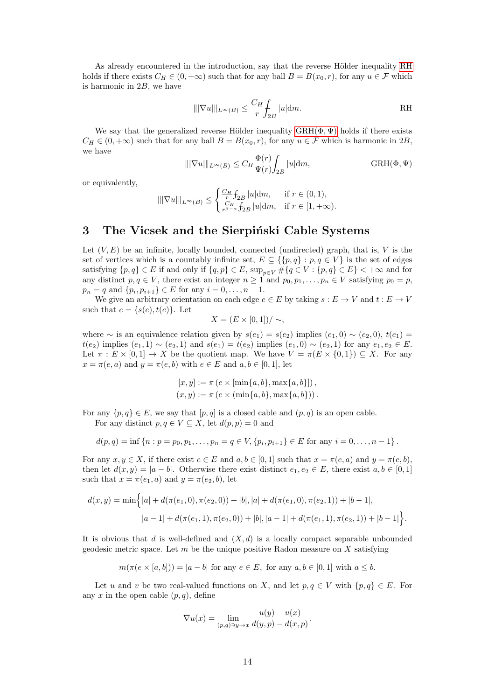As already encountered in the introduction, say that the reverse Hölder inequality [RH](#page-13-2) holds if there exists  $C_H \in (0, +\infty)$  such that for any ball  $B = B(x_0, r)$ , for any  $u \in \mathcal{F}$  which is harmonic in  $2B$ , we have

<span id="page-13-2"></span>
$$
\|\nabla u\|\|_{L^{\infty}(B)} \le \frac{C_H}{r} \int_{2B} |u| \mathrm{d}m.
$$
 RH

We say that the generalized reverse Hölder inequality  $GRH(\Phi, \Psi)$  holds if there exists  $C_H \in (0, +\infty)$  such that for any ball  $B = B(x_0, r)$ , for any  $u \in \mathcal{F}$  which is harmonic in 2B, we have

<span id="page-13-0"></span>
$$
\|\nabla u\|_{L^{\infty}(B)} \le C_H \frac{\Phi(r)}{\Psi(r)} \int_{2B} |u| dm, \qquad \text{GRH}(\Phi, \Psi)
$$

or equivalently,

$$
\|\nabla u\|_{L^{\infty}(B)} \le \begin{cases} \frac{C_H}{r} \int_{2B} |u| dm, & \text{if } r \in (0,1), \\ \frac{C_H}{r^{\beta-\alpha}} \int_{2B} |u| dm, & \text{if } r \in [1,+\infty). \end{cases}
$$

### <span id="page-13-1"></span>3 The Vicsek and the Sierpinski Cable Systems

Let  $(V, E)$  be an infinite, locally bounded, connected (undirected) graph, that is, V is the set of vertices which is a countably infinite set,  $E \subseteq \{\{p,q\} : p,q \in V\}$  is the set of edges satisfying  $\{p, q\} \in E$  if and only if  $\{q, p\} \in E$ ,  $\sup_{p \in V} \# \{q \in V : \{p, q\} \in E\}$  <  $+\infty$  and for any distinct  $p, q \in V$ , there exist an integer  $n \geq 1$  and  $p_0, p_1, \ldots, p_n \in V$  satisfying  $p_0 = p$ ,  $p_n = q$  and  $\{p_i, p_{i+1}\} \in E$  for any  $i = 0, \ldots, n-1$ .

We give an arbitrary orientation on each edge  $e \in E$  by taking  $s : E \to V$  and  $t : E \to V$ such that  $e = \{s(e), t(e)\}\text{.}$  Let

$$
X = (E \times [0,1]) / \sim,
$$

where ∼ is an equivalence relation given by  $s(e_1) = s(e_2)$  implies  $(e_1, 0) \sim (e_2, 0)$ ,  $t(e_1) =$  $t(e_2)$  implies  $(e_1, 1) \sim (e_2, 1)$  and  $s(e_1) = t(e_2)$  implies  $(e_1, 0) \sim (e_2, 1)$  for any  $e_1, e_2 \in E$ . Let  $\pi : E \times [0,1] \to X$  be the quotient map. We have  $V = \pi(E \times \{0,1\}) \subseteq X$ . For any  $x = \pi(e, a)$  and  $y = \pi(e, b)$  with  $e \in E$  and  $a, b \in [0, 1]$ , let

$$
[x, y] := \pi (e \times [\min\{a, b\}, \max\{a, b\}]),
$$
  

$$
(x, y) := \pi (e \times (\min\{a, b\}, \max\{a, b\})).
$$

For any  $\{p,q\} \in E$ , we say that  $[p,q]$  is a closed cable and  $(p,q)$  is an open cable. For any distinct  $p, q \in V \subseteq X$ , let  $d(p, p) = 0$  and

$$
d(p,q) = \inf \{ n : p = p_0, p_1, \dots, p_n = q \in V, \{p_i, p_{i+1}\} \in E \text{ for any } i = 0, \dots, n-1 \}.
$$

For any  $x, y \in X$ , if there exist  $e \in E$  and  $a, b \in [0, 1]$  such that  $x = \pi(e, a)$  and  $y = \pi(e, b)$ , then let  $d(x, y) = |a - b|$ . Otherwise there exist distinct  $e_1, e_2 \in E$ , there exist  $a, b \in [0, 1]$ such that  $x = \pi(e_1, a)$  and  $y = \pi(e_2, b)$ , let

$$
d(x,y) = \min\Big\{|a| + d(\pi(e_1,0), \pi(e_2,0)) + |b|, |a| + d(\pi(e_1,0), \pi(e_2,1)) + |b-1|,
$$
  

$$
|a-1| + d(\pi(e_1,1), \pi(e_2,0)) + |b|, |a-1| + d(\pi(e_1,1), \pi(e_2,1)) + |b-1|\Big\}.
$$

It is obvious that d is well-defined and  $(X, d)$  is a locally compact separable unbounded geodesic metric space. Let  $m$  be the unique positive Radon measure on  $X$  satisfying

 $m(\pi(e \times [a, b])) = |a - b|$  for any  $e \in E$ , for any  $a, b \in [0, 1]$  with  $a \leq b$ .

Let u and v be two real-valued functions on X, and let  $p, q \in V$  with  $\{p, q\} \in E$ . For any x in the open cable  $(p, q)$ , define

$$
\nabla u(x) = \lim_{(p,q)\ni y \to x} \frac{u(y) - u(x)}{d(y,p) - d(x,p)}.
$$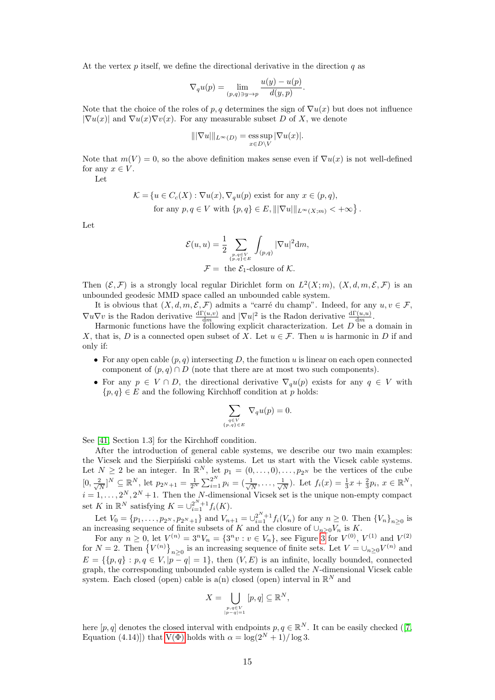At the vertex  $p$  itself, we define the directional derivative in the direction  $q$  as

$$
\nabla_q u(p) = \lim_{(p,q)\ni y \to p} \frac{u(y) - u(p)}{d(y,p)}.
$$

Note that the choice of the roles of p, q determines the sign of  $\nabla u(x)$  but does not influence  $|\nabla u(x)|$  and  $\nabla u(x)\nabla v(x)$ . For any measurable subset D of X, we denote

$$
\|\nabla u\|_{L^{\infty}(D)} = \operatorname*{ess\,sup}_{x \in D \backslash V} |\nabla u(x)|.
$$

Note that  $m(V) = 0$ , so the above definition makes sense even if  $\nabla u(x)$  is not well-defined for any  $x \in V$ .

Let

$$
\mathcal{K} = \{ u \in C_c(X) : \nabla u(x), \nabla_q u(p) \text{ exist for any } x \in (p, q),
$$
  
for any  $p, q \in V$  with  $\{p, q\} \in E, |||\nabla u|||_{L^{\infty}(X; m)} < +\infty \}.$ 

Let

$$
\mathcal{E}(u, u) = \frac{1}{2} \sum_{\substack{p,q \in V \\ \{p,q\} \in E}} \int_{(p,q)} |\nabla u|^2 dm,
$$
  

$$
\mathcal{F} = \text{ the } \mathcal{E}_1\text{-closure of } \mathcal{K}.
$$

Then  $(\mathcal{E}, \mathcal{F})$  is a strongly local regular Dirichlet form on  $L^2(X; m)$ ,  $(X, d, m, \mathcal{E}, \mathcal{F})$  is an unbounded geodesic MMD space called an unbounded cable system.

It is obvious that  $(X, d, m, \mathcal{E}, \mathcal{F})$  admits a "carré du champ". Indeed, for any  $u, v \in \mathcal{F}$ ,  $\nabla u \nabla v$  is the Radon derivative  $\frac{d\Gamma(u,v)}{dm}$  and  $|\nabla u|^2$  is the Radon derivative  $\frac{d\Gamma(u,u)}{dm}$ .

Harmonic functions have the following explicit characterization. Let  $D$  be a domain in X, that is, D is a connected open subset of X. Let  $u \in \mathcal{F}$ . Then u is harmonic in D if and only if:

- For any open cable  $(p, q)$  intersecting D, the function u is linear on each open connected component of  $(p, q) \cap D$  (note that there are at most two such components).
- For any  $p \in V \cap D$ , the directional derivative  $\nabla_{\alpha}u(p)$  exists for any  $q \in V$  with  ${p, q} \in E$  and the following Kirchhoff condition at p holds:

$$
\sum_{\substack{q \in V \\ \{p,q\} \in E}} \nabla_q u(p) = 0.
$$

See [\[41,](#page-29-16) Section 1.3] for the Kirchhoff condition.

After the introduction of general cable systems, we describe our two main examples: the Vicsek and the Sierpiński cable systems. Let us start with the Vicsek cable systems. Let  $N \geq 2$  be an integer. In  $\mathbb{R}^N$ , let  $p_1 = (0, \ldots, 0), \ldots, p_{2^N}$  be the vertices of the cube  $[0, \frac{2}{\sqrt{2}}]$  $\frac{2}{N}$ ]<sup>N</sup>  $\subseteq \mathbb{R}^N$ , let  $p_{2^N+1} = \frac{1}{2^N} \sum_{i=1}^{2^N} p_i = (\frac{1}{\sqrt{N}})$  $\frac{1}{N}, \ldots, \frac{1}{\sqrt{N}}$  $\frac{1}{N}$ ). Let  $f_i(x) = \frac{1}{3}x + \frac{2}{3}p_i, x \in \mathbb{R}^N$ ,  $i = 1, \ldots, 2^N, 2^N + 1$ . Then the N-dimensional Vicsek set is the unique non-empty compact set K in  $\mathbb{R}^N$  satisfying  $K = \bigcup_{i=1}^{2^N+1} f_i(K)$ .

Let  $V_0 = \{p_1, \ldots, p_{2^N}, p_{2^N+1}\}\$ and  $V_{n+1} = \bigcup_{i=1}^{2^N+1} f_i(V_n)$  for any  $n \geq 0$ . Then  $\{V_n\}_{n \geq 0}$  is an increasing sequence of finite subsets of K and the closure of  $\cup_{n\geq 0}V_n$  is K.

For any  $n \ge 0$ , let  $V^{(n)} = 3^n V_n = \{3^n v : v \in V_n\}$  $V^{(n)} = 3^n V_n = \{3^n v : v \in V_n\}$  $V^{(n)} = 3^n V_n = \{3^n v : v \in V_n\}$ , see Figure 3 for  $V^{(0)}$ ,  $V^{(1)}$  and  $V^{(2)}$ for  $N = 2$ . Then  $\{V^{(n)}\}_{n \geq 0}$  is an increasing sequence of finite sets. Let  $V = \bigcup_{n \geq 0} V^{(n)}$  and  $E = \{ \{p, q\} : p, q \in V, |p - q| = 1 \},\$  then  $(V, E)$  is an infinite, locally bounded, connected graph, the corresponding unbounded cable system is called the N-dimensional Vicsek cable system. Each closed (open) cable is a(n) closed (open) interval in  $\mathbb{R}^N$  and

$$
X = \bigcup_{\substack{p,q \in V \\ |p-q|=1}} [p,q] \subseteq \mathbb{R}^N,
$$

here $[p, q]$  denotes the closed interval with endpoints  $p, q \in \mathbb{R}^N$ . It can be easily checked ([\[7,](#page-28-20) Equation (4.14)]) that  $V(\Phi)$  holds with  $\alpha = \log(2^N + 1)/\log 3$ .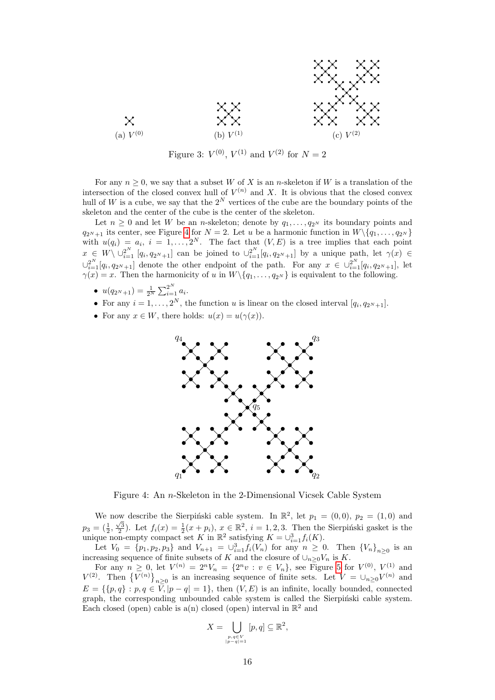<span id="page-15-0"></span>

Figure 3:  $V^{(0)}$ ,  $V^{(1)}$  and  $V^{(2)}$  for  $N=2$ 

For any  $n \geq 0$ , we say that a subset W of X is an n-skeleton if W is a translation of the intersection of the closed convex hull of  $V^{(n)}$  and X. It is obvious that the closed convex hull of W is a cube, we say that the  $2^N$  vertices of the cube are the boundary points of the skeleton and the center of the cube is the center of the skeleton.

Let  $n \geq 0$  and let W be an *n*-skeleton; denote by  $q_1, \ldots, q_{2^N}$  its boundary points and  $q_{2N+1}$  its center, see Figure [4](#page-15-1) for  $N = 2$ . Let u be a harmonic function in  $W \setminus \{q_1, \ldots, q_{2N}\}\$ with  $u(q_i) = a_i$ ,  $i = 1, ..., 2^N$ . The fact that  $(V, E)$  is a tree implies that each point  $x \in W \setminus \cup_{i=1}^{2^N} [q_i, q_{2^N+1}]$  can be joined to  $\cup_{i=1}^{2^N} [q_i, q_{2^N+1}]$  by a unique path, let  $\gamma(x) \in$  $\cup_{i=1}^{2^N}[q_i,q_{2^N+1}]$  denote the other endpoint of the path. For any  $x \in \cup_{i=1}^{2^N}[q_i,q_{2^N+1}]$ , let  $\gamma(x) = x$ . Then the harmonicity of u in  $W \setminus \{q_1, \ldots, q_{2^N}\}\$ is equivalent to the following.

- $u(q_{2^N+1}) = \frac{1}{2^N} \sum_{i=1}^{2^N} a_i$ .
- For any  $i = 1, ..., 2^N$ , the function u is linear on the closed interval  $[q_i, q_{2^N+1}]$ .
- <span id="page-15-1"></span>• For any  $x \in W$ , there holds:  $u(x) = u(\gamma(x))$ .



Figure 4: An n-Skeleton in the 2-Dimensional Vicsek Cable System

We now describe the Sierpiński cable system. In  $\mathbb{R}^2$ , let  $p_1 = (0,0)$ ,  $p_2 = (1,0)$  and  $p_3 = (\frac{1}{2}, \frac{\sqrt{3}}{2})$ . Let  $f_i(x) = \frac{1}{2}(x + p_i)$ ,  $x \in \mathbb{R}^2$ ,  $i = 1, 2, 3$ . Then the Sierpiński gasket is the unique non-empty compact set K in  $\mathbb{R}^2$  satisfying  $K = \bigcup_{i=1}^3 f_i(K)$ .

Let  $V_0 = \{p_1, p_2, p_3\}$  and  $V_{n+1} = \bigcup_{i=1}^3 f_i(V_n)$  for any  $n \geq 0$ . Then  $\{V_n\}_{n \geq 0}$  is an increasing sequence of finite subsets of K and the closure of  $\cup_{n\geq 0}V_n$  is K.

For any  $n \geq 0$ , let  $V^{(n)} = 2^n V_n = \{2^n v : v \in V_n\}$ , see Figure [5](#page-16-1) for  $V^{(0)}$ ,  $V^{(1)}$  and  $V^{(2)}$ . Then  $\{V^{(n)}\}_{n\geq 0}$  is an increasing sequence of finite sets. Let  $V = \bigcup_{n\geq 0} V^{(n)}$  and  $E = \{ \{p, q\} : p, q \in \overline{V}, |p - q| = 1 \},\$  then  $(V, E)$  is an infinite, locally bounded, connected graph, the corresponding unbounded cable system is called the Sierpinski cable system. Each closed (open) cable is a(n) closed (open) interval in  $\mathbb{R}^2$  and

$$
X = \bigcup_{\substack{p,q \in V \\ |p-q|=1}} [p,q] \subseteq \mathbb{R}^2,
$$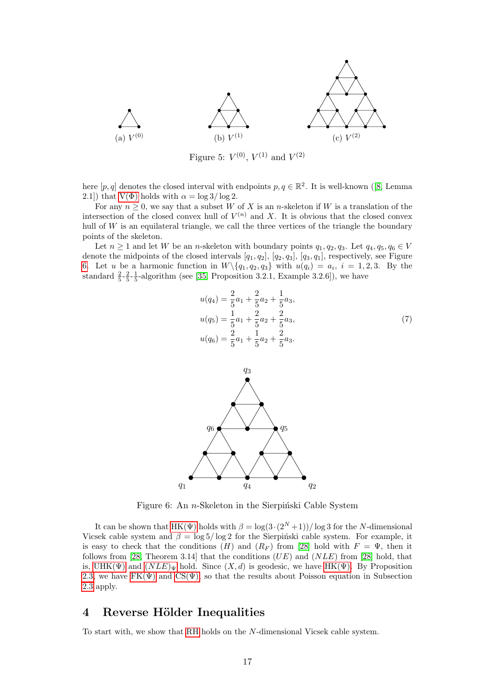<span id="page-16-1"></span>

Figure 5:  $V^{(0)}$ ,  $V^{(1)}$  and  $V^{(2)}$ 

here $[p, q]$  denotes the closed interval with endpoints  $p, q \in \mathbb{R}^2$ . It is well-known ([\[8,](#page-28-21) Lemma 2.1]) that  $V(\Phi)$  holds with  $\alpha = \log 3/\log 2$ .

For any  $n \geq 0$ , we say that a subset W of X is an n-skeleton if W is a translation of the intersection of the closed convex hull of  $V^{(n)}$  and X. It is obvious that the closed convex hull of  $W$  is an equilateral triangle, we call the three vertices of the triangle the boundary points of the skeleton.

Let  $n \geq 1$  and let W be an n-skeleton with boundary points  $q_1, q_2, q_3$ . Let  $q_4, q_5, q_6 \in V$ denote the midpoints of the closed intervals  $[q_1, q_2]$ ,  $[q_2, q_3]$ ,  $[q_3, q_1]$ , respectively, see Figure [6.](#page-16-2) Let u be a harmonic function in  $W \setminus \{q_1, q_2, q_3\}$  with  $u(q_i) = a_i$ ,  $i = 1, 2, 3$ . By the standard  $\frac{2}{5}$ - $\frac{2}{5}$ - $\frac{1}{5}$ -algorithm (see [\[35,](#page-29-17) Proposition 3.2.1, Example 3.2.6]), we have

<span id="page-16-3"></span>
$$
u(q_4) = \frac{2}{5}a_1 + \frac{2}{5}a_2 + \frac{1}{5}a_3,
$$
  
\n
$$
u(q_5) = \frac{1}{5}a_1 + \frac{2}{5}a_2 + \frac{2}{5}a_3,
$$
  
\n
$$
u(q_6) = \frac{2}{5}a_1 + \frac{1}{5}a_2 + \frac{2}{5}a_3.
$$
\n(7)

<span id="page-16-2"></span>

Figure 6: An  $n$ -Skeleton in the Sierpiński Cable System

It can be shown that HK( $\Psi$ ) holds with  $\beta = \log(3 \cdot (2^N + 1))/\log 3$  for the N-dimensional Vicsek cable system and  $\beta = \log 5 / \log 2$  for the Sierpinski cable system. For example, it is easy to check that the conditions (H) and  $(R_F)$  from [\[28\]](#page-29-18) hold with  $F = \Psi$ , then it follows from [\[28,](#page-29-18) Theorem 3.14] that the conditions  $(UE)$  and  $(NLE)$  from [\[28\]](#page-29-18) hold, that is, UHK( $\Psi$ ) and  $(NLE)_{\Psi}$  $(NLE)_{\Psi}$  $(NLE)_{\Psi}$  hold. Since  $(X, d)$  is geodesic, we have HK( $\Psi$ ). By Proposition [2.3,](#page-9-2) we have  $FK(\Psi)$  and  $CS(\Psi)$ , so that the results about Poisson equation in Subsection [2.3](#page-10-2) apply.

### <span id="page-16-0"></span>4 Reverse Hölder Inequalities

To start with, we show that [RH](#page-13-2) holds on the N-dimensional Vicsek cable system.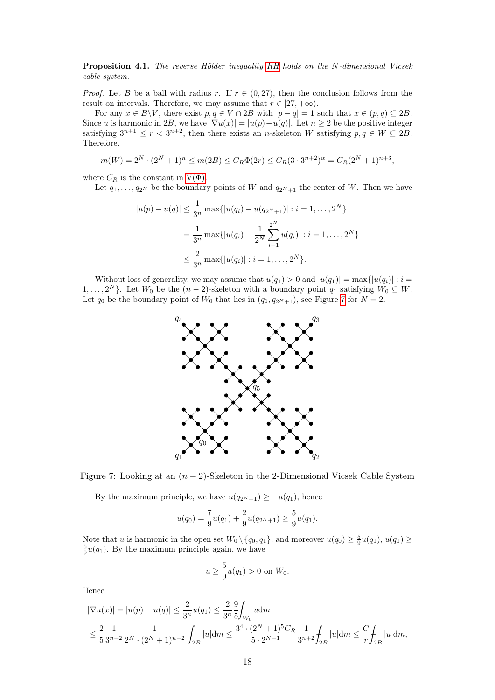<span id="page-17-0"></span>Proposition 4.1. The reverse Hölder inequality [RH](#page-13-2) holds on the N-dimensional Vicsek cable system.

*Proof.* Let B be a ball with radius r. If  $r \in (0, 27)$ , then the conclusion follows from the result on intervals. Therefore, we may assume that  $r \in [27, +\infty)$ .

For any  $x \in B\backslash V$ , there exist  $p, q \in V \cap 2B$  with  $|p - q| = 1$  such that  $x \in (p, q) \subseteq 2B$ . Since u is harmonic in 2B, we have  $|\nabla u(x)| = |u(p) - u(q)|$ . Let  $n \geq 2$  be the positive integer satisfying  $3^{n+1} \le r < 3^{n+2}$ , then there exists an *n*-skeleton W satisfying  $p, q \in W \subseteq 2B$ . Therefore,

$$
m(W) = 2^N \cdot (2^N + 1)^n \le m(2B) \le C_R \Phi(2r) \le C_R (3 \cdot 3^{n+2})^{\alpha} = C_R (2^N + 1)^{n+3},
$$

where  $C_R$  is the constant in  $V(\Phi)$ .

Let  $q_1, \ldots, q_{2^N}$  be the boundary points of W and  $q_{2^N+1}$  the center of W. Then we have

$$
|u(p) - u(q)| \le \frac{1}{3^n} \max\{|u(q_i) - u(q_{2^N+1})| : i = 1, ..., 2^N\}
$$
  
= 
$$
\frac{1}{3^n} \max\{|u(q_i) - \frac{1}{2^N} \sum_{i=1}^{2^N} u(q_i)| : i = 1, ..., 2^N\}
$$
  

$$
\le \frac{2}{3^n} \max\{|u(q_i)| : i = 1, ..., 2^N\}.
$$

<span id="page-17-1"></span>Without loss of generality, we may assume that  $u(q_1) > 0$  and  $|u(q_1)| = \max\{|u(q_i)| : i =$  $1, \ldots, 2^N$ . Let  $W_0$  be the  $(n-2)$ -skeleton with a boundary point  $q_1$  satisfying  $W_0 \subseteq W$ . Let  $q_0$  be the boundary point of  $W_0$  that lies in  $(q_1, q_2N_{+1})$ , see Figure [7](#page-17-1) for  $N = 2$ .



Figure 7: Looking at an  $(n-2)$ -Skeleton in the 2-Dimensional Vicsek Cable System

By the maximum principle, we have  $u(q_{2N+1}) \geq -u(q_1)$ , hence

$$
u(q_0) = \frac{7}{9}u(q_1) + \frac{2}{9}u(q_{2^N+1}) \ge \frac{5}{9}u(q_1).
$$

Note that u is harmonic in the open set  $W_0 \setminus \{q_0, q_1\}$ , and moreover  $u(q_0) \geq \frac{5}{9}u(q_1), u(q_1) \geq$  $\frac{5}{9}u(q_1)$ . By the maximum principle again, we have

$$
u \ge \frac{5}{9}u(q_1) > 0
$$
 on  $W_0$ .

Hence

$$
\begin{aligned} |\nabla u(x)| &= |u(p) - u(q)| \le \frac{2}{3^n} u(q_1) \le \frac{2}{3^n} \frac{9}{5} \int_{W_0} u \, \mathrm{d}m \\ &\le \frac{2}{5} \frac{1}{3^{n-2}} \frac{1}{2^N \cdot (2^N + 1)^{n-2}} \int_{2B} |u| \, \mathrm{d}m \le \frac{3^4 \cdot (2^N + 1)^5 C_R}{5 \cdot 2^{N-1}} \frac{1}{3^{n+2}} \int_{2B} |u| \, \mathrm{d}m \le \frac{C}{r} \int_{2B} |u| \, \mathrm{d}m, \end{aligned}
$$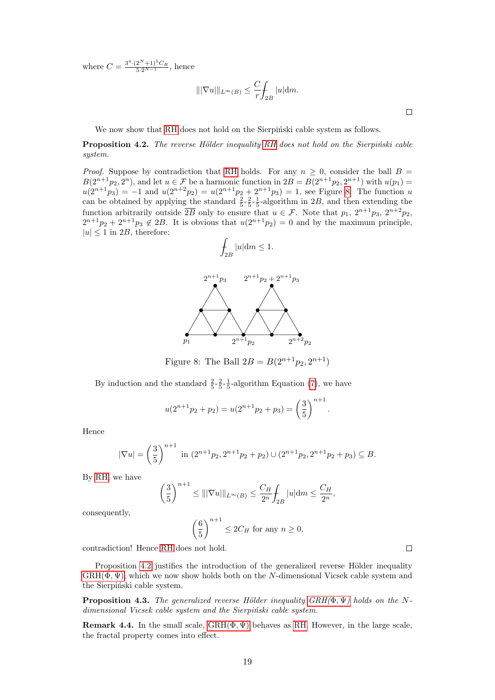where  $C = \frac{3^4 \cdot (2^N + 1)^5 C_R}{5 \cdot 2^{N-1}}$ , hence

$$
\|\nabla u\|_{L^{\infty}(B)} \leq \frac{C}{r} \int_{2B} |u| dm.
$$

We now show that [RH](#page-13-2) does not hold on the Sierpinski cable system as follows.

<span id="page-18-0"></span>**Proposition 4.2.** The reverse Hölder inequality [RH](#page-13-2) does not hold on the Sierpiński cable system.

<span id="page-18-2"></span>*Proof.* Suppose by contradiction that [RH](#page-13-2) holds. For any  $n \geq 0$ , consider the ball  $B =$  $B(2^{n+1}p_2, 2^n)$ , and let  $u \in \mathcal{F}$  be a harmonic function in  $2B = B(2^{n+1}p_2, 2^{n+1})$  with  $u(p_1)$  $u(2^{n+1}p_3) = -1$  and  $u(2^{n+2}p_2) = u(2^{n+1}p_2 + 2^{n+1}p_3) = 1$ , see Figure [8.](#page-18-2) The function u can be obtained by applying the standard  $\frac{2}{5} - \frac{2}{5} - \frac{1}{5}$ -algorithm in 2B, and then extending the function arbitrarily outside  $\overline{2B}$  only to ensure that  $u \in \mathcal{F}$ . Note that  $p_1$ ,  $2^{n+1}p_3$ ,  $2^{n+2}p_2$ ,  $2^{n+1}p_2 + 2^{n+1}p_3 \notin 2B$ . It is obvious that  $u(2^{n+1}p_2) = 0$  and by the maximum principle,  $|u| \leq 1$  in 2B, therefore:

$$
\int_{2B} |u| \mathrm{d}m \le 1.
$$



Figure 8: The Ball  $2B = B(2^{n+1}p_2, 2^{n+1})$ 

By induction and the standard  $\frac{2}{5} - \frac{2}{5} - \frac{1}{5}$ -algorithm Equation [\(7\)](#page-16-3), we have

$$
u(2^{n+1}p_2 + p_2) = u(2^{n+1}p_2 + p_3) = \left(\frac{3}{5}\right)^{n+1}
$$

.

Hence

$$
|\nabla u| = \left(\frac{3}{5}\right)^{n+1} \text{ in } (2^{n+1}p_2, 2^{n+1}p_2 + p_2) \cup (2^{n+1}p_2, 2^{n+1}p_2 + p_3) \subseteq B.
$$

By [RH,](#page-13-2) we have

$$
\left(\frac{3}{5}\right)^{n+1} \le |||\nabla u|||_{L^{\infty}(B)} \le \frac{C_H}{2^n} \int_{2B} |u| dm \le \frac{C_H}{2^n},
$$

consequently,

$$
\left(\frac{6}{5}\right)^{n+1} \le 2C_H \text{ for any } n \ge 0,
$$

contradiction! Hence [RH](#page-13-2) does not hold.

Proposition [4.2](#page-18-0) justifies the introduction of the generalized reverse Hölder inequality  $GRH(\Phi, \Psi)$ , which we now show holds both on the N-dimensional Vicsek cable system and the Sierpiński cable system.

<span id="page-18-1"></span>**Proposition 4.3.** The generalized reverse Hölder inequality  $GRH(\Phi, \Psi)$  holds on the Ndimensional Vicsek cable system and the Sierpinski cable system.

**Remark 4.4.** In the small scale,  $GRH(\Phi, \Psi)$  behaves as [RH.](#page-13-2) However, in the large scale, the fractal property comes into effect.

 $\Box$ 

 $\Box$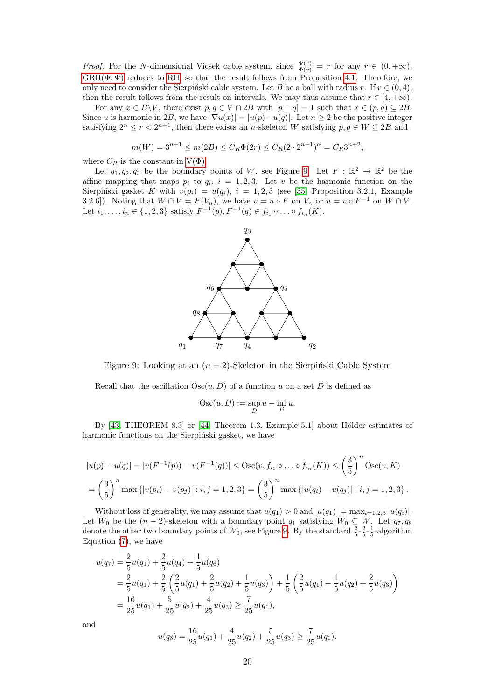*Proof.* For the N-dimensional Vicsek cable system, since  $\frac{\Psi(r)}{\Phi(r)} = r$  for any  $r \in (0, +\infty)$ ,  $GRH(\Phi, \Psi)$  reduces to [RH,](#page-13-2) so that the result follows from Proposition [4.1.](#page-17-0) Therefore, we only need to consider the Sierpinski cable system. Let B be a ball with radius r. If  $r \in (0, 4)$ , then the result follows from the result on intervals. We may thus assume that  $r \in [4, +\infty)$ .

For any  $x \in B\backslash V$ , there exist  $p, q \in V \cap 2B$  with  $|p - q| = 1$  such that  $x \in (p, q) \subseteq 2B$ . Since u is harmonic in 2B, we have  $|\nabla u(x)| = |u(p) - u(q)|$ . Let  $n \geq 2$  be the positive integer satisfying  $2^n \le r < 2^{n+1}$ , then there exists an *n*-skeleton W satisfying  $p, q \in W \subseteq 2B$  and

$$
m(W) = 3^{n+1} \le m(2B) \le C_R \Phi(2r) \le C_R (2 \cdot 2^{n+1})^{\alpha} = C_R 3^{n+2},
$$

where  $C_R$  is the constant in  $V(\Phi)$ .

<span id="page-19-0"></span>Let  $q_1, q_2, q_3$  be the boundary points of W, see Figure [9.](#page-19-0) Let  $F : \mathbb{R}^2 \to \mathbb{R}^2$  be the affine mapping that maps  $p_i$  to  $q_i$ ,  $i = 1, 2, 3$ . Let v be the harmonic function on the Sierpiński gasket K with  $v(p_i) = u(q_i)$ ,  $i = 1, 2, 3$  (see [\[35,](#page-29-17) Proposition 3.2.1, Example 3.2.6]). Noting that  $W \cap V = F(V_n)$ , we have  $v = u \circ F$  on  $V_n$  or  $u = v \circ F^{-1}$  on  $W \cap V$ . Let  $i_1, ..., i_n \in \{1, 2, 3\}$  satisfy  $F^{-1}(p), F^{-1}(q) \in f_{i_1} \circ ... \circ f_{i_n}(K)$ .



Figure 9: Looking at an  $(n-2)$ -Skeleton in the Sierpinski Cable System

Recall that the oscillation  $Osc(u, D)$  of a function u on a set D is defined as

$$
Osc(u, D) := \sup_D u - \inf_D u.
$$

By  $[43,$  THEOREM 8.3] or  $[44,$  Theorem 1.3, Example 5.1] about Hölder estimates of harmonic functions on the Sierpinski gasket, we have

$$
|u(p) - u(q)| = |v(F^{-1}(p)) - v(F^{-1}(q))| \leq \text{Osc}(v, f_{i_1} \circ \dots \circ f_{i_n}(K)) \leq \left(\frac{3}{5}\right)^n \text{Osc}(v, K)
$$
  
=  $\left(\frac{3}{5}\right)^n \max \{|v(p_i) - v(p_j)| : i, j = 1, 2, 3\} = \left(\frac{3}{5}\right)^n \max \{|u(q_i) - u(q_j)| : i, j = 1, 2, 3\}.$ 

Without loss of generality, we may assume that  $u(q_1) > 0$  and  $|u(q_1)| = \max_{i=1,2,3} |u(q_i)|$ . Let  $W_0$  be the  $(n-2)$ -skeleton with a boundary point  $q_1$  satisfying  $W_0 \subseteq W$ . Let  $q_7, q_8$ denote the other two boundary points of  $W_0$ , see Figure [9.](#page-19-0) By the standard  $\frac{2}{5} - \frac{2}{5} - \frac{1}{5}$ -algorithm Equation [\(7\)](#page-16-3), we have

$$
u(q_7) = \frac{2}{5}u(q_1) + \frac{2}{5}u(q_4) + \frac{1}{5}u(q_6)
$$
  
=  $\frac{2}{5}u(q_1) + \frac{2}{5}\left(\frac{2}{5}u(q_1) + \frac{2}{5}u(q_2) + \frac{1}{5}u(q_3)\right) + \frac{1}{5}\left(\frac{2}{5}u(q_1) + \frac{1}{5}u(q_2) + \frac{2}{5}u(q_3)\right)$   
=  $\frac{16}{25}u(q_1) + \frac{5}{25}u(q_2) + \frac{4}{25}u(q_3) \ge \frac{7}{25}u(q_1),$ 

and

$$
u(q_8) = \frac{16}{25}u(q_1) + \frac{4}{25}u(q_2) + \frac{5}{25}u(q_3) \ge \frac{7}{25}u(q_1).
$$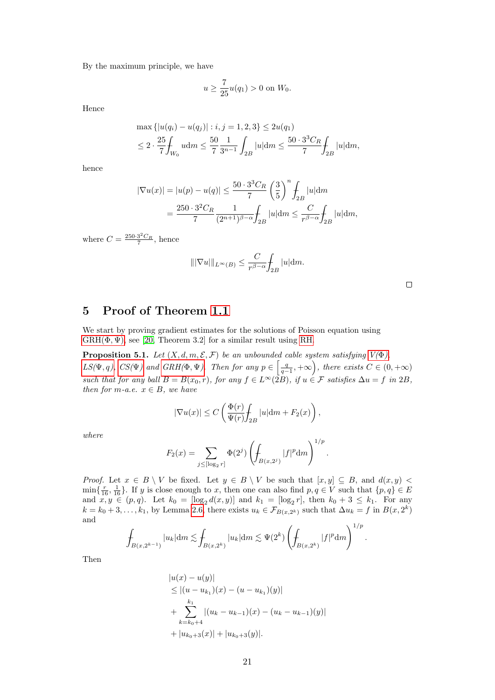By the maximum principle, we have

$$
u \ge \frac{7}{25}u(q_1) > 0
$$
 on  $W_0$ .

Hence

$$
\max \{|u(q_i) - u(q_j)| : i, j = 1, 2, 3\} \le 2u(q_1)
$$
  

$$
\le 2 \cdot \frac{25}{7} \int_{W_0} u dm \le \frac{50}{7} \frac{1}{3^{n-1}} \int_{2B} |u| dm \le \frac{50 \cdot 3^3 C_R}{7} \int_{2B} |u| dm,
$$

hence

$$
|\nabla u(x)| = |u(p) - u(q)| \le \frac{50 \cdot 3^3 C_R}{7} \left(\frac{3}{5}\right)^n \int_{2B} |u| dm
$$
  
= 
$$
\frac{250 \cdot 3^2 C_R}{7} \frac{1}{(2^{n+1})^{\beta - \alpha}} \int_{2B} |u| dm \le \frac{C}{r^{\beta - \alpha}} \int_{2B} |u| dm,
$$

where  $C = \frac{250 \cdot 3^2 C_R}{7}$ , hence

$$
\|\nabla u\|\|_{L^\infty(B)} \le \frac{C}{r^{\beta-\alpha}} \int_{2B} |u| \mathrm{d} m.
$$

## <span id="page-20-1"></span>5 Proof of Theorem [1.1](#page-2-1)

We start by proving gradient estimates for the solutions of Poisson equation using  $GRH(\Phi, \Psi)$ , see [\[20,](#page-28-4) Theorem 3.2] for a similar result using [RH.](#page-13-2)

<span id="page-20-0"></span>**Proposition 5.1.** Let  $(X, d, m, \mathcal{E}, \mathcal{F})$  be an unbounded cable system satisfying  $V(\Phi)$ ,  $LS(\Psi, q)$  $LS(\Psi, q)$ ,  $CS(\Psi)$  and  $GRH(\Phi, \Psi)$ . Then for any  $p \in \left[\frac{q}{q-1}, +\infty\right)$ , there exists  $C \in (0, +\infty)$ such that for any ball  $B = B(x_0, r)$ , for any  $f \in L^{\infty}(\Sigma_B)$ , if  $u \in \mathcal{F}$  satisfies  $\Delta u = f$  in  $2B$ , then for m-a.e.  $x \in B$ , we have

$$
|\nabla u(x)| \leq C\left(\frac{\Phi(r)}{\Psi(r)}\!\!\int_{2B}|u| \mathrm{d} m + F_2(x)\right),
$$

where

$$
F_2(x) = \sum_{j \leq [\log_2 r]} \Phi(2^j) \left( \int_{B(x, 2^j)} |f|^p dm \right)^{1/p}.
$$

*Proof.* Let  $x \in B \setminus V$  be fixed. Let  $y \in B \setminus V$  be such that  $[x, y] \subseteq B$ , and  $d(x, y)$  $\min\{\frac{r}{16},\frac{1}{16}\}\.$  If y is close enough to x, then one can also find  $p,q \in V$  such that  $\{p,q\} \in E$ and  $x, y \in (p, q)$ . Let  $k_0 = [\log_2 d(x, y)]$  and  $k_1 = [\log_2 r]$ , then  $k_0 + 3 \le k_1$ . For any  $k = k_0 + 3, \ldots, k_1$ , by Lemma [2.6,](#page-10-1) there exists  $u_k \in \mathcal{F}_{B(x, 2^k)}$  such that  $\Delta u_k = f$  in  $B(x, 2^k)$ and  $1/x$ 

$$
\int_{B(x,2^{k-1})} |u_k| dm \lesssim \int_{B(x,2^k)} |u_k| dm \lesssim \Psi(2^k) \left( \int_{B(x,2^k)} |f|^p dm \right)^{1/p}.
$$

Then

$$
|u(x) - u(y)|
$$
  
\n
$$
\leq |(u - u_{k_1})(x) - (u - u_{k_1})(y)|
$$
  
\n
$$
+ \sum_{k=k_0+4}^{k_1} |(u_k - u_{k-1})(x) - (u_k - u_{k-1})(y)|
$$
  
\n
$$
+ |u_{k_0+3}(x)| + |u_{k_0+3}(y)|.
$$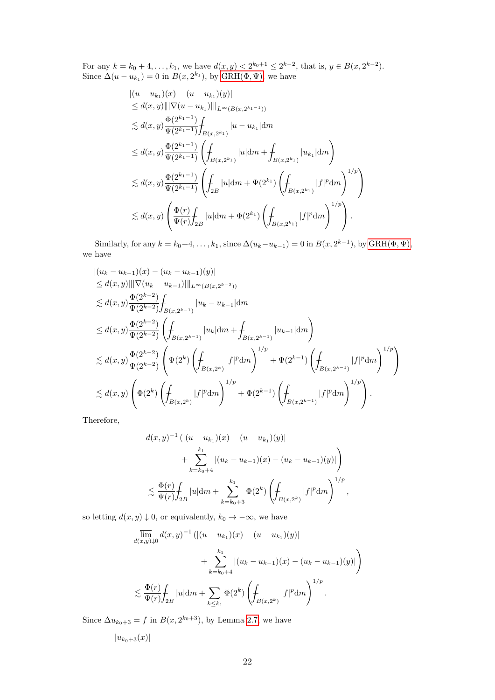For any  $k = k_0 + 4, \ldots, k_1$ , we have  $d(x, y) < 2^{k_0+1} \leq 2^{k-2}$ , that is,  $y \in B(x, 2^{k-2})$ . Since  $\Delta(u - u_{k_1}) = 0$  in  $B(x, 2^{k_1})$ , by GRH( $\Phi, \Psi$ ), we have

$$
\begin{split} &\left| (u - u_{k_1})(x) - (u - u_{k_1})(y) \right| \\ &\leq d(x,y) \|\|\nabla (u - u_{k_1})\|\|_{L^{\infty}(B(x,2^{k_1-1}))} \\ &\lesssim d(x,y) \frac{\Phi(2^{k_1-1})}{\Psi(2^{k_1-1})} \int_{B(x,2^{k_1})} |u - u_{k_1}| dm \\ &\leq d(x,y) \frac{\Phi(2^{k_1-1})}{\Psi(2^{k_1-1})} \left( \int_{B(x,2^{k_1})} |u| dm + \int_{B(x,2^{k_1})} |u_{k_1}| dm \right) \\ &\lesssim d(x,y) \frac{\Phi(2^{k_1-1})}{\Psi(2^{k_1-1})} \left( \int_{2B} |u| dm + \Psi(2^{k_1}) \left( \int_{B(x,2^{k_1})} |f|^p dm \right)^{1/p} \right) \\ &\lesssim d(x,y) \left( \frac{\Phi(r)}{\Psi(r)} \int_{2B} |u| dm + \Phi(2^{k_1}) \left( \int_{B(x,2^{k_1})} |f|^p dm \right)^{1/p} \right). \end{split}
$$

Similarly, for any  $k = k_0 + 4, \ldots, k_1$ , since  $\Delta(u_k - u_{k-1}) = 0$  in  $B(x, 2^{k-1})$ , by  $\text{GRH}(\Phi, \Psi)$ , we have

$$
\begin{split} &\left| (u_k-u_{k-1})(x)-(u_k-u_{k-1})(y) \right| \\ &\leq d(x,y) \|\left| \nabla (u_k-u_{k-1}) \right| \|\left|_{L^{\infty}(B(x,2^{k-2}))} \\ &\lesssim d(x,y) \frac{\Phi(2^{k-2})}{\Psi(2^{k-2})} \int_{B(x,2^{k-1})} |u_k-u_{k-1}| \mathrm{d} m \\ &\leq d(x,y) \frac{\Phi(2^{k-2})}{\Psi(2^{k-2})} \left( \int_{B(x,2^{k-1})} |u_k| \mathrm{d} m + \int_{B(x,2^{k-1})} |u_{k-1}| \mathrm{d} m \right) \\ &\lesssim d(x,y) \frac{\Phi(2^{k-2})}{\Psi(2^{k-2})} \left( \Psi(2^k) \left( \int_{B(x,2^k)} |f|^p \mathrm{d} m \right)^{1/p} + \Psi(2^{k-1}) \left( \int_{B(x,2^{k-1})} |f|^p \mathrm{d} m \right)^{1/p} \right) \\ &\lesssim d(x,y) \left( \Phi(2^k) \left( \int_{B(x,2^k)} |f|^p \mathrm{d} m \right)^{1/p} + \Phi(2^{k-1}) \left( \int_{B(x,2^{k-1})} |f|^p \mathrm{d} m \right)^{1/p} \right). \end{split}
$$

Therefore,

$$
d(x,y)^{-1} (|(u - u_{k_1})(x) - (u - u_{k_1})(y)|
$$
  
+ 
$$
\sum_{k=k_0+4}^{k_1} |(u_k - u_{k-1})(x) - (u_k - u_{k-1})(y)|
$$
  

$$
\lesssim \frac{\Phi(r)}{\Psi(r)} \int_{2B} |u| dm + \sum_{k=k_0+3}^{k_1} \Phi(2^k) \left( \int_{B(x,2^k)} |f|^p dm \right)^{1/p},
$$

so letting  $d(x, y) \downarrow 0$ , or equivalently,  $k_0 \rightarrow -\infty$ , we have

$$
\overline{\lim}_{d(x,y)\downarrow 0} d(x,y)^{-1} (|(u - u_{k_1})(x) - (u - u_{k_1})(y)|
$$
  
+ 
$$
\sum_{k=k_0+4}^{k_1} |(u_k - u_{k-1})(x) - (u_k - u_{k-1})(y)|
$$
  

$$
\lesssim \frac{\Phi(r)}{\Psi(r)} \int_{2B} |u| dm + \sum_{k \leq k_1} \Phi(2^k) \left( \int_{B(x, 2^k)} |f|^p dm \right)^{1/p}.
$$

Since  $\Delta u_{k_0+3} = f$  in  $B(x, 2^{k_0+3})$ , by Lemma [2.7,](#page-11-2) we have

$$
|u_{k_0+3}(x)|
$$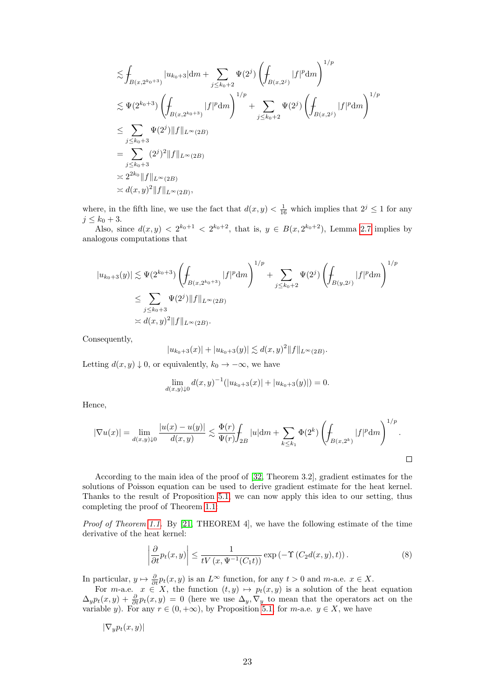$$
\leq \int_{B(x,2^{k_0+3})} |u_{k_0+3}| dm + \sum_{j \leq k_0+2} \Psi(2^j) \left( \int_{B(x,2^j)} |f|^p dm \right)^{1/p}
$$
  
\n
$$
\leq \Psi(2^{k_0+3}) \left( \int_{B(x,2^{k_0+3})} |f|^p dm \right)^{1/p} + \sum_{j \leq k_0+2} \Psi(2^j) \left( \int_{B(x,2^j)} |f|^p dm \right)^{1/p}
$$
  
\n
$$
\leq \sum_{j \leq k_0+3} \Psi(2^j) \|f\|_{L^{\infty}(2B)}
$$
  
\n
$$
= \sum_{j \leq k_0+3} (2^j)^2 \|f\|_{L^{\infty}(2B)}
$$
  
\n
$$
\leq 2^{2k_0} \|f\|_{L^{\infty}(2B)}
$$
  
\n
$$
\leq d(x,y)^2 \|f\|_{L^{\infty}(2B)},
$$

where, in the fifth line, we use the fact that  $d(x, y) < \frac{1}{16}$  which implies that  $2^{j} \leq 1$  for any  $j \leq k_0 + 3$ .

Also, since  $d(x, y) < 2^{k_0+1} < 2^{k_0+2}$ , that is,  $y \in B(x, 2^{k_0+2})$ , Lemma [2.7](#page-11-2) implies by analogous computations that

$$
|u_{k_0+3}(y)| \lesssim \Psi(2^{k_0+3}) \left( \int_{B(x,2^{k_0+3})} |f|^p \, dm \right)^{1/p} + \sum_{j \le k_0+2} \Psi(2^j) \left( \int_{B(y,2^j)} |f|^p \, dm \right)^{1/p}
$$
  

$$
\le \sum_{j \le k_0+3} \Psi(2^j) \|f\|_{L^{\infty}(2B)}
$$
  

$$
\asymp d(x,y)^2 \|f\|_{L^{\infty}(2B)}.
$$

Consequently,

$$
|u_{k_0+3}(x)| + |u_{k_0+3}(y)| \lesssim d(x,y)^2 \|f\|_{L^{\infty}(2B)}.
$$

Letting  $d(x, y) \downarrow 0$ , or equivalently,  $k_0 \to -\infty$ , we have

$$
\lim_{d(x,y)\downarrow 0} d(x,y)^{-1} (|u_{k_0+3}(x)| + |u_{k_0+3}(y)|) = 0.
$$

Hence,

$$
|\nabla u(x)| = \lim_{d(x,y)\downarrow 0} \frac{|u(x) - u(y)|}{d(x,y)} \lesssim \frac{\Phi(r)}{\Psi(r)} \int_{2B} |u| dm + \sum_{k \leq k_1} \Phi(2^k) \left( \int_{B(x,2^k)} |f|^p dm \right)^{1/p}.
$$

According to the main idea of the proof of [\[32,](#page-29-20) Theorem 3.2], gradient estimates for the solutions of Poisson equation can be used to derive gradient estimate for the heat kernel. Thanks to the result of Proposition [5.1,](#page-20-0) we can now apply this idea to our setting, thus completing the proof of Theorem [1.1:](#page-2-1)

*Proof of Theorem [1.1.](#page-2-1)* By [\[21,](#page-28-22) THEOREM 4], we have the following estimate of the time derivative of the heat kernel:

<span id="page-22-0"></span>
$$
\left| \frac{\partial}{\partial t} p_t(x, y) \right| \le \frac{1}{t V(x, \Psi^{-1}(C_1 t))} \exp \left( -\Upsilon \left( C_2 d(x, y), t \right) \right). \tag{8}
$$

In particular,  $y \mapsto \frac{\partial}{\partial t} p_t(x, y)$  is an  $L^\infty$  function, for any  $t > 0$  and  $m$ -a.e.  $x \in X$ .

For m-a.e.  $x \in X$ , the function  $(t, y) \mapsto p_t(x, y)$  is a solution of the heat equation  $\Delta_y p_t(x,y) + \frac{\partial}{\partial t} p_t(x,y) = 0$  (here we use  $\Delta_y, \nabla_y$  to mean that the operators act on the variable y). For any  $r \in (0, +\infty)$ , by Proposition [5.1,](#page-20-0) for m-a.e.  $y \in X$ , we have

$$
|\nabla_y p_t(x,y)|
$$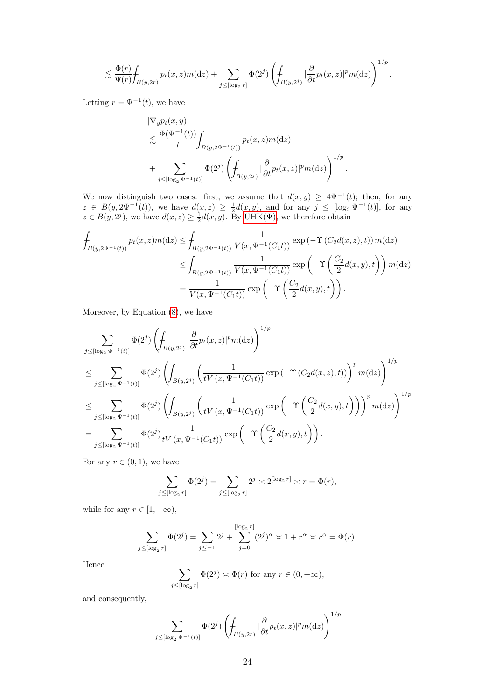$$
\lesssim \frac{\Phi(r)}{\Psi(r)} {\displaystyle \int_{B(y,2r)} p_t(x,z)m(\mathrm{d}z)} + \sum_{j \leq [\log_2 r]} \Phi(2^j) \left({\displaystyle \int_{B(y,2^j)}} |\frac{\partial}{\partial t} p_t(x,z)|^p m(\mathrm{d}z) \right)^{1/p}.
$$

Letting  $r = \Psi^{-1}(t)$ , we have

$$
\label{eq:11} \begin{aligned} &|\nabla_y p_t(x,y)|\\ &\lesssim \frac{\Phi(\Psi^{-1}(t))}{t}\!\!\int_{B(y,2\Psi^{-1}(t))}p_t(x,z)m(\mathrm{d} z)\\ &+\sum_{j\leq [\log_2\Psi^{-1}(t)]}\Phi(2^j)\left(\!\!\int_{B(y,2^j)}|\frac{\partial}{\partial t}p_t(x,z)|^pm(\mathrm{d} z)\right)^{1/p}. \end{aligned}
$$

We now distinguish two cases: first, we assume that  $d(x, y) \geq 4\Psi^{-1}(t)$ ; then, for any  $z \in B(y, 2\Psi^{-1}(t)),$  we have  $d(x, z) \geq \frac{1}{2}d(x, y)$ , and for any  $j \leq [\log_2 \Psi^{-1}(t)],$  for any  $z \in B(y, 2^{j})$ , we have  $d(x, z) \geq \frac{1}{2}d(x, y)$ . By UHK( $\Psi$ ), we therefore obtain

$$
\int_{B(y,2\Psi^{-1}(t))} p_t(x,z)m(\mathrm{d}z) \le \int_{B(y,2\Psi^{-1}(t))} \frac{1}{V(x,\Psi^{-1}(C_1t))} \exp\left(-\Upsilon\left(C_2d(x,z),t\right)\right) m(\mathrm{d}z)
$$
\n
$$
\le \int_{B(y,2\Psi^{-1}(t))} \frac{1}{V(x,\Psi^{-1}(C_1t))} \exp\left(-\Upsilon\left(\frac{C_2}{2}d(x,y),t\right)\right) m(\mathrm{d}z)
$$
\n
$$
= \frac{1}{V(x,\Psi^{-1}(C_1t))} \exp\left(-\Upsilon\left(\frac{C_2}{2}d(x,y),t\right)\right).
$$

Moreover, by Equation [\(8\)](#page-22-0), we have

$$
\sum_{j \leq [\log_2 \Psi^{-1}(t)]} \Phi(2^j) \left( \int_{B(y,2^j)} |\frac{\partial}{\partial t} p_t(x,z)|^p m(\mathrm{d}z) \right)^{1/p} \n\leq \sum_{j \leq [\log_2 \Psi^{-1}(t)]} \Phi(2^j) \left( \int_{B(y,2^j)} \left( \frac{1}{t V(x, \Psi^{-1}(C_1 t))} \exp \left( -\Upsilon \left( C_2 d(x,z), t \right) \right) \right)^p m(\mathrm{d}z) \right)^{1/p} \n\leq \sum_{j \leq [\log_2 \Psi^{-1}(t)]} \Phi(2^j) \left( \int_{B(y,2^j)} \left( \frac{1}{t V(x, \Psi^{-1}(C_1 t))} \exp \left( -\Upsilon \left( \frac{C_2}{2} d(x,y), t \right) \right) \right)^p m(\mathrm{d}z) \right)^{1/p} \n= \sum_{j \leq [\log_2 \Psi^{-1}(t)]} \Phi(2^j) \frac{1}{t V(x, \Psi^{-1}(C_1 t))} \exp \left( -\Upsilon \left( \frac{C_2}{2} d(x,y), t \right) \right).
$$

For any  $r \in (0, 1)$ , we have

$$
\sum_{j\leq [\log_2 r]} \Phi(2^j)=\sum_{j\leq [\log_2 r]} 2^j\asymp 2^{[\log_2 r]}\asymp r=\Phi(r),
$$

while for any  $r \in [1, +\infty)$ ,

$$
\sum_{j \leq [\log_2 r]} \Phi(2^j) = \sum_{j \leq -1} 2^j + \sum_{j=0}^{[\log_2 r]} (2^j)^{\alpha} \asymp 1 + r^{\alpha} \asymp r^{\alpha} = \Phi(r).
$$

Hence

$$
\sum_{j \leq [\log_2 r]} \Phi(2^j) \asymp \Phi(r)
$$
 for any  $r \in (0, +\infty)$ ,

and consequently,

$$
\sum_{j\le [\log_2\Psi^{-1}(t)]}\Phi(2^j)\left(\int_{B(y,2^j)}|\frac{\partial}{\partial t}p_t(x,z)|^pm(\mathrm{d} z)\right)^{1/p}
$$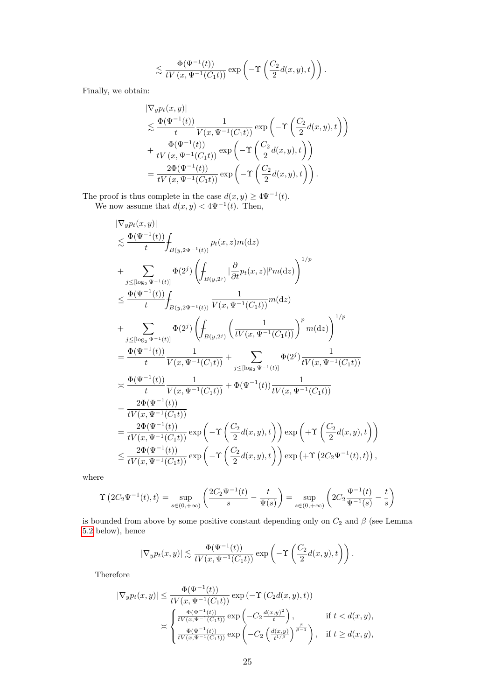$$
\lesssim \frac{\Phi(\Psi^{-1}(t))}{t V(x, \Psi^{-1}(C_1 t))} \exp\left(-\Upsilon\left(\frac{C_2}{2}d(x,y),t\right)\right).
$$

Finally, we obtain:

$$
\label{eq:11} \begin{split} &|\nabla_y p_t(x,y)|\\ &\lesssim \frac{\Phi(\Psi^{-1}(t))}{t}\frac{1}{V(x,\Psi^{-1}(C_1t))}\exp\left(-\Upsilon\left(\frac{C_2}{2}d(x,y),t\right)\right)\\ &+\frac{\Phi(\Psi^{-1}(t))}{tV\left(x,\Psi^{-1}(C_1t)\right)}\exp\left(-\Upsilon\left(\frac{C_2}{2}d(x,y),t\right)\right)\\ &=\frac{2\Phi(\Psi^{-1}(t))}{tV\left(x,\Psi^{-1}(C_1t)\right)}\exp\left(-\Upsilon\left(\frac{C_2}{2}d(x,y),t\right)\right). \end{split}
$$

The proof is thus complete in the case  $d(x, y) \geq 4\Psi^{-1}(t)$ . We now assume that  $d(x, y) < 4\Psi^{-1}(t)$ . Then,

$$
\begin{split} &|\nabla_y p_t(x,y)|\\ &\lesssim \frac{\Phi(\Psi^{-1}(t))}{t}\!\!\!\!\int_{B(y,2\Psi^{-1}(t))}p_t(x,z)m(\mathrm{d}z)\\ &+\sum_{j\leq [\log_2\Psi^{-1}(t)]}\Phi(2^j)\left(\!\!\!\int_{B(y,2^j)}|\frac{\partial}{\partial t}p_t(x,z)|^pm(\mathrm{d}z)\right)^{1/p}\\ &\leq \frac{\Phi(\Psi^{-1}(t))}{t}\!\!\!\int_{B(y,2\Psi^{-1}(t))}\frac{1}{V(x,\Psi^{-1}(C_1t))}m(\mathrm{d}z)\\ &+\sum_{j\leq [\log_2\Psi^{-1}(t)]}\Phi(2^j)\left(\!\!\!\int_{B(y,2^j)}\left(\frac{1}{tV(x,\Psi^{-1}(C_1t))}\right)^pm(m(\mathrm{d}z)\right)^{1/p}\\ &=\frac{\Phi(\Psi^{-1}(t))}{t}\frac{1}{V(x,\Psi^{-1}(C_1t))}+\sum_{j\leq [\log_2\Psi^{-1}(t)]}\Phi(2^j)\frac{1}{tV(x,\Psi^{-1}(C_1t))}\\ &\asymp \frac{\Phi(\Psi^{-1}(t))}{t}\frac{1}{V(x,\Psi^{-1}(C_1t))}+\Phi(\Psi^{-1}(t))\frac{1}{tV(x,\Psi^{-1}(C_1t))}\\ &=\frac{2\Phi(\Psi^{-1}(t))}{tV(x,\Psi^{-1}(C_1t))}\\ &=\frac{2\Phi(\Psi^{-1}(t))}{tV(x,\Psi^{-1}(C_1t))}\exp\left(-\Upsilon\left(\frac{C_2}{2}d(x,y),t\right)\right)\exp\left(+\Upsilon\left(\frac{C_2}{2}d(x,y),t\right)\right)\\ &\leq \frac{2\Phi(\Psi^{-1}(t))}{tV(x,\Psi^{-1}(C_1t))}\exp\left(-\Upsilon\left(\frac{C_2}{2}d(x,y),t\right)\right)\exp\left(+\Upsilon\left(2C_2\Psi^{-1}(t),t\right)\right), \end{split}
$$

where

$$
\Upsilon\left(2C_2\Psi^{-1}(t),t\right) = \sup_{s \in (0,+\infty)} \left(\frac{2C_2\Psi^{-1}(t)}{s} - \frac{t}{\Psi(s)}\right) = \sup_{s \in (0,+\infty)} \left(2C_2\frac{\Psi^{-1}(t)}{\Psi^{-1}(s)} - \frac{t}{s}\right)
$$

is bounded from above by some positive constant depending only on  $C_2$  and  $\beta$  (see Lemma [5.2](#page-25-0) below), hence

$$
|\nabla_y p_t(x,y)| \lesssim \frac{\Phi(\Psi^{-1}(t))}{tV(x,\Psi^{-1}(C_1 t))} \exp\left(-\Upsilon\left(\frac{C_2}{2}d(x,y),t\right)\right).
$$

Therefore

$$
|\nabla_y p_t(x,y)| \leq \frac{\Phi(\Psi^{-1}(t))}{tV(x,\Psi^{-1}(C_1t))} \exp\left(-\Upsilon\left(C_2d(x,y),t\right)\right)
$$
  

$$
\asymp \begin{cases} \frac{\Phi(\Psi^{-1}(t))}{tV(x,\Psi^{-1}(C_1t))} \exp\left(-C_2\frac{d(x,y)^2}{t}\right), & \text{if } t < d(x,y),\\ \frac{\Phi(\Psi^{-1}(t))}{tV(x,\Psi^{-1}(C_1t))} \exp\left(-C_2\left(\frac{d(x,y)}{t^{1/\beta}}\right)^{\frac{\beta}{\beta-1}}\right), & \text{if } t \geq d(x,y), \end{cases}
$$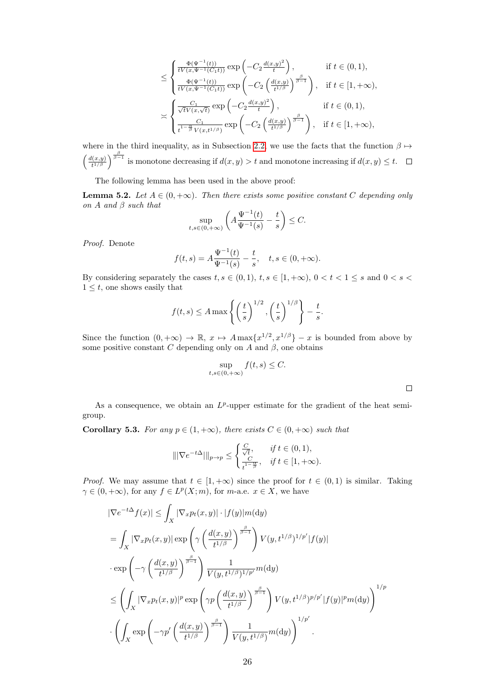$$
\leq \begin{cases} \frac{\Phi(\Psi^{-1}(t))}{tV(x,\Psi^{-1}(C_1t))} \exp\left(-C_2 \frac{d(x,y)^2}{t}\right), & \text{if } t \in (0,1),\\ \frac{\Phi(\Psi^{-1}(t))}{tV(x,\Psi^{-1}(C_1t))} \exp\left(-C_2 \left(\frac{d(x,y)}{t^{1/\beta}}\right)^{\frac{\beta}{\beta-1}}\right), & \text{if } t \in [1,+\infty),\\ \frac{C_1}{\sqrt{t}V(x,\sqrt{t})} \exp\left(-C_2 \frac{d(x,y)^2}{t}\right), & \text{if } t \in (0,1),\\ \frac{C_1}{t^{1-\frac{\alpha}{\beta}}V(x,t^{1/\beta})} \exp\left(-C_2 \left(\frac{d(x,y)}{t^{1/\beta}}\right)^{\frac{\beta}{\beta-1}}\right), & \text{if } t \in [1,+\infty), \end{cases}
$$

where in the third inequality, as in Subsection [2.2,](#page-8-3) we use the facts that the function  $\beta \mapsto$  $\int$   $\frac{d(x,y)}{g(x,y)}$  $\frac{d(x,y)}{d^{t/3}}\Big)^{\frac{\beta}{\beta-1}}$  is monotone decreasing if  $d(x,y) > t$  and monotone increasing if  $d(x,y) \leq t$ .

The following lemma has been used in the above proof:

<span id="page-25-0"></span>**Lemma 5.2.** Let  $A \in (0, +\infty)$ . Then there exists some positive constant C depending only on  $A$  and  $\beta$  such that

$$
\sup_{t,s\in(0,+\infty)} \left( A \frac{\Psi^{-1}(t)}{\Psi^{-1}(s)} - \frac{t}{s} \right) \leq C.
$$

Proof. Denote

$$
f(t,s) = A \frac{\Psi^{-1}(t)}{\Psi^{-1}(s)} - \frac{t}{s}, \quad t, s \in (0, +\infty).
$$

By considering separately the cases  $t, s \in (0, 1), t, s \in [1, +\infty), 0 < t < 1 \le s$  and  $0 < s <$  $1 \leq t$ , one shows easily that

$$
f(t,s) \le A \max \left\{ \left(\frac{t}{s}\right)^{1/2}, \left(\frac{t}{s}\right)^{1/\beta} \right\} - \frac{t}{s}.
$$

Since the function  $(0, +\infty) \to \mathbb{R}$ ,  $x \mapsto A \max\{x^{1/2}, x^{1/\beta}\} - x$  is bounded from above by some positive constant C depending only on A and  $\beta$ , one obtains

$$
\sup_{t,s\in(0,+\infty)}f(t,s)\leq C.
$$

 $\Box$ 

As a consequence, we obtain an  $L^p$ -upper estimate for the gradient of the heat semigroup.

<span id="page-25-1"></span>**Corollary 5.3.** For any  $p \in (1, +\infty)$ , there exists  $C \in (0, +\infty)$  such that

$$
\|\nabla e^{-t\Delta}\|\_{p\to p} \le \begin{cases} \frac{C}{\sqrt{t}}, & \text{if } t \in (0,1), \\ \frac{C}{t^{1-\frac{\alpha}{\beta}}}, & \text{if } t \in [1,+\infty). \end{cases}
$$

*Proof.* We may assume that  $t \in [1, +\infty)$  since the proof for  $t \in (0, 1)$  is similar. Taking  $\gamma \in (0, +\infty)$ , for any  $f \in L^p(X; m)$ , for m-a.e.  $x \in X$ , we have

$$
\begin{aligned} &|\nabla e^{-t\Delta}f(x)|\leq\int_{X}|\nabla_{x}p_{t}(x,y)|\cdot|f(y)|m(\mathrm{d}y)\\ &=\int_{X}|\nabla_{x}p_{t}(x,y)|\exp\left(\gamma\left(\frac{d(x,y)}{t^{1/\beta}}\right)^{\frac{\beta}{\beta-1}}\right)V(y,t^{1/\beta})^{1/p'}|f(y)|\\ &\cdot\exp\left(-\gamma\left(\frac{d(x,y)}{t^{1/\beta}}\right)^{\frac{\beta}{\beta-1}}\right)\frac{1}{V(y,t^{1/\beta})^{1/p'}}m(\mathrm{d}y)\\ &\leq\left(\int_{X}|\nabla_{x}p_{t}(x,y)|^{p}\exp\left(\gamma p\left(\frac{d(x,y)}{t^{1/\beta}}\right)^{\frac{\beta}{\beta-1}}\right)V(y,t^{1/\beta})^{p/p'}|f(y)|^{p}m(\mathrm{d}y)\right)^{1/p}\\ &\cdot\left(\int_{X}\exp\left(-\gamma p'\left(\frac{d(x,y)}{t^{1/\beta}}\right)^{\frac{\beta}{\beta-1}}\right)\frac{1}{V(y,t^{1/\beta})}m(\mathrm{d}y)\right)^{1/p'}.\end{aligned}
$$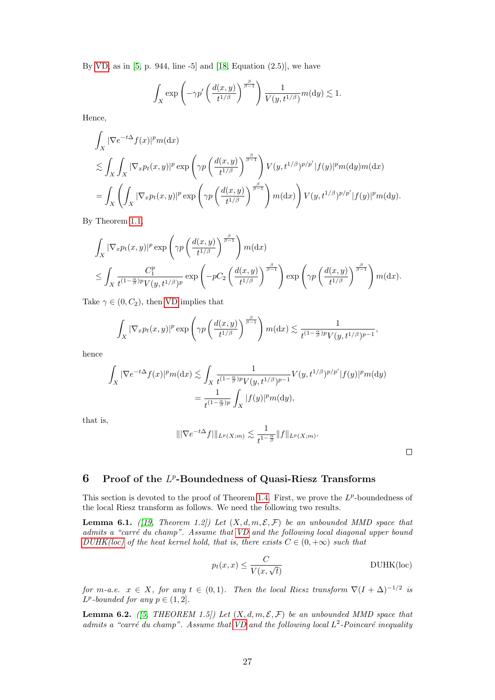By [VD,](#page-5-2) as in  $[5, p. 944, line -5]$  and  $[18, Equation (2.5)],$  we have

$$
\int_X \exp\left(-\gamma p'\left(\frac{d(x,y)}{t^{1/\beta}}\right)^{\frac{\beta}{\beta-1}}\right) \frac{1}{V(y,t^{1/\beta})} m(\mathrm{d}y) \lesssim 1.
$$

Hence,

$$
\int_{X} |\nabla e^{-t\Delta} f(x)|^{p} m(\mathrm{d}x)
$$
\n
$$
\lesssim \int_{X} \int_{X} |\nabla_{x} p_{t}(x, y)|^{p} \exp\left(\gamma p \left(\frac{d(x, y)}{t^{1/\beta}}\right)^{\frac{\beta}{\beta-1}}\right) V(y, t^{1/\beta})^{p/p'} |f(y)|^{p} m(\mathrm{d}y) m(\mathrm{d}x)
$$
\n
$$
= \int_{X} \left(\int_{X} |\nabla_{x} p_{t}(x, y)|^{p} \exp\left(\gamma p \left(\frac{d(x, y)}{t^{1/\beta}}\right)^{\frac{\beta}{\beta-1}}\right) m(\mathrm{d}x)\right) V(y, t^{1/\beta})^{p/p'} |f(y)|^{p} m(\mathrm{d}y).
$$

By Theorem [1.1,](#page-2-1)

$$
\int_X |\nabla_x p_t(x,y)|^p \exp\left(\gamma p \left(\frac{d(x,y)}{t^{1/\beta}}\right)^{\frac{\beta}{\beta-1}}\right) m(\mathrm{d}x) \leq \int_X \frac{C_1^p}{t^{(1-\frac{\alpha}{\beta})p}V(y,t^{1/\beta})^p} \exp\left(-pC_2\left(\frac{d(x,y)}{t^{1/\beta}}\right)^{\frac{\beta}{\beta-1}}\right) \exp\left(\gamma p \left(\frac{d(x,y)}{t^{1/\beta}}\right)^{\frac{\beta}{\beta-1}}\right) m(\mathrm{d}x).
$$

Take  $\gamma \in (0, C_2)$ , then [VD](#page-5-2) implies that

$$
\int_X |\nabla_x p_t(x,y)|^p \exp\left(\gamma p\left(\frac{d(x,y)}{t^{1/\beta}}\right)^{\frac{\beta}{\beta-1}}\right) m(\mathrm{d}x) \lesssim \frac{1}{t^{(1-\frac{\alpha}{\beta})p}V(y,t^{1/\beta})^{p-1}},
$$

hence

$$
\int_X |\nabla e^{-t\Delta} f(x)|^p m(\mathrm{d}x) \lesssim \int_X \frac{1}{t^{(1-\frac{\alpha}{\beta})p} V(y, t^{1/\beta})^{p-1}} V(y, t^{1/\beta})^{p/p'} |f(y)|^p m(\mathrm{d}y)
$$

$$
= \frac{1}{t^{(1-\frac{\alpha}{\beta})p}} \int_X |f(y)|^p m(\mathrm{d}y),
$$

that is,

$$
\|\nabla e^{-t\Delta} f\|_{L^p(X;m)} \lesssim \frac{1}{t^{1-\frac{\alpha}{\beta}}} \|f\|_{L^p(X;m)}.
$$

<span id="page-26-1"></span> $\Box$ 

# <span id="page-26-0"></span>6 Proof of the  $L^p$ -Boundedness of Quasi-Riesz Transforms

This section is devoted to the proof of Theorem [1.4.](#page-4-0) First, we prove the  $L^p$ -boundedness of the local Riesz transform as follows. We need the following two results.

<span id="page-26-2"></span>**Lemma 6.1.** ([\[19,](#page-28-2) Theorem 1.2]) Let  $(X, d, m, \mathcal{E}, \mathcal{F})$  be an unbounded MMD space that admits a "carré du champ". Assume that  $VD$  and the following local diagonal upper bound [DUHK\(loc\)](#page-26-1) of the heat kernel hold, that is, there exists  $C \in (0, +\infty)$  such that

$$
p_t(x,x) \le \frac{C}{V(x,\sqrt{t})}
$$
 DUHK(loc)

for m-a.e.  $x \in X$ , for any  $t \in (0,1)$ . Then the local Riesz transform  $\nabla (I + \Delta)^{-1/2}$  is  $L^p$ -bounded for any  $p \in (1,2]$ .

<span id="page-26-3"></span>**Lemma 6.2.** ([\[5,](#page-28-3) THEOREM 1.5]) Let  $(X, d, m, \mathcal{E}, \mathcal{F})$  be an unbounded MMD space that admits a "carré du champ". Assume that [VD](#page-5-2) and the following local  $L^2$ -Poincaré inequality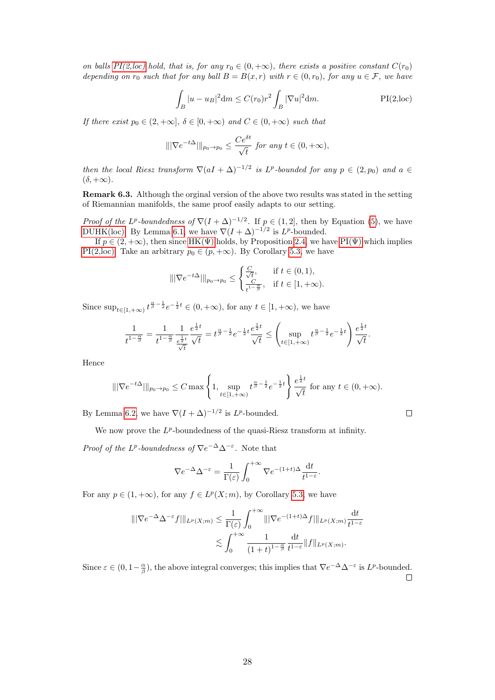on balls  $PI(2,loc)$  hold, that is, for any  $r_0 \in (0, +\infty)$ , there exists a positive constant  $C(r_0)$ depending on  $r_0$  such that for any ball  $B = B(x, r)$  with  $r \in (0, r_0)$ , for any  $u \in \mathcal{F}$ , we have

<span id="page-27-0"></span>
$$
\int_{B} |u - u_{B}|^{2} dm \le C(r_{0}) r^{2} \int_{B} |\nabla u|^{2} dm.
$$
 PI(2,loc)

If there exist  $p_0 \in (2, +\infty]$ ,  $\delta \in [0, +\infty)$  and  $C \in (0, +\infty)$  such that

$$
\|\nabla e^{-t\Delta}\|\|_{p_0 \to p_0} \le \frac{Ce^{\delta t}}{\sqrt{t}} \text{ for any } t \in (0, +\infty),
$$

then the local Riesz transform  $\nabla (aI + \Delta)^{-1/2}$  is L<sup>p</sup>-bounded for any  $p \in (2, p_0)$  and  $a \in$  $(\delta, +\infty)$ .

Remark 6.3. Although the orginal version of the above two results was stated in the setting of Riemannian manifolds, the same proof easily adapts to our setting.

*Proof of the L<sup>p</sup>-boundedness of*  $\nabla (I + \Delta)^{-1/2}$ . If  $p \in (1,2]$ , then by Equation [\(5\)](#page-9-3), we have [DUHK\(loc\).](#page-26-1) By Lemma [6.1,](#page-26-2) we have  $\nabla (I + \Delta)^{-1/2}$  is  $L^p$ -bounded.

If  $p \in (2, +\infty)$ , then since HK( $\Psi$ ) holds, by Proposition [2.4,](#page-9-4) we have PI( $\Psi$ ) which implies [PI\(2,loc\).](#page-27-0) Take an arbitrary  $p_0 \in (p, +\infty)$ . By Corollary [5.3,](#page-25-1) we have

$$
\|\nabla e^{-t\Delta}\|_{p_0 \to p_0} \leq \begin{cases} \frac{C}{\sqrt{t}}, & \text{if } t \in (0,1), \\ \frac{C}{t^{1-\frac{\alpha}{\beta}}}, & \text{if } t \in [1,+\infty). \end{cases}
$$

Since  $\sup_{t\in[1,+\infty)}t^{\frac{\alpha}{\beta}-\frac{1}{2}}e^{-\frac{1}{2}t}\in(0,+\infty)$ , for any  $t\in[1,+\infty)$ , we have

$$
\frac{1}{t^{1-\frac{\alpha}{\beta}}} = \frac{1}{t^{1-\frac{\alpha}{\beta}}} \frac{1}{\frac{e^{\frac{1}{2}t}}{\sqrt{t}}} \frac{e^{\frac{1}{2}t}}{\sqrt{t}} = t^{\frac{\alpha}{\beta} - \frac{1}{2}} e^{-\frac{1}{2}t} \frac{e^{\frac{1}{2}t}}{\sqrt{t}} \leq \left(\sup_{t \in [1, +\infty)} t^{\frac{\alpha}{\beta} - \frac{1}{2}} e^{-\frac{1}{2}t}\right) \frac{e^{\frac{1}{2}t}}{\sqrt{t}}.
$$

Hence

$$
\|\nabla e^{-t\Delta}\|_{p_0 \to p_0} \le C \max\left\{1, \sup_{t \in [1, +\infty)} t^{\frac{\alpha}{\beta} - \frac{1}{2}} e^{-\frac{1}{2}t} \right\} \frac{e^{\frac{1}{2}t}}{\sqrt{t}} \text{ for any } t \in (0, +\infty).
$$

By Lemma [6.2,](#page-26-3) we have  $\nabla (I + \Delta)^{-1/2}$  is  $L^p$ -bounded.

 $\Box$ 

We now prove the  $L^p$ -boundedness of the quasi-Riesz transform at infinity.

*Proof of the L<sup>p</sup>*-boundedness of  $\nabla e^{-\Delta} \Delta^{-\epsilon}$ . Note that

$$
\nabla e^{-\Delta} \Delta^{-\varepsilon} = \frac{1}{\Gamma(\varepsilon)} \int_0^{+\infty} \nabla e^{-(1+t)\Delta} \frac{\mathrm{d}t}{t^{1-\varepsilon}}.
$$

For any  $p \in (1, +\infty)$ , for any  $f \in L^p(X; m)$ , by Corollary [5.3,](#page-25-1) we have

$$
\| |\nabla e^{-\Delta} \Delta^{-\varepsilon} f| \|_{L^p(X;m)} \leq \frac{1}{\Gamma(\varepsilon)} \int_0^{+\infty} \| |\nabla e^{-(1+t)\Delta} f| \|_{L^p(X;m)} \frac{dt}{t^{1-\varepsilon}}
$$
  

$$
\lesssim \int_0^{+\infty} \frac{1}{(1+t)^{1-\frac{\alpha}{\beta}}} \frac{dt}{t^{1-\varepsilon}} \|f\|_{L^p(X;m)}.
$$

Since  $\varepsilon \in (0, 1-\frac{\alpha}{\beta})$ , the above integral converges; this implies that  $\nabla e^{-\Delta} \Delta^{-\varepsilon}$  is  $L^p$ -bounded.  $\Box$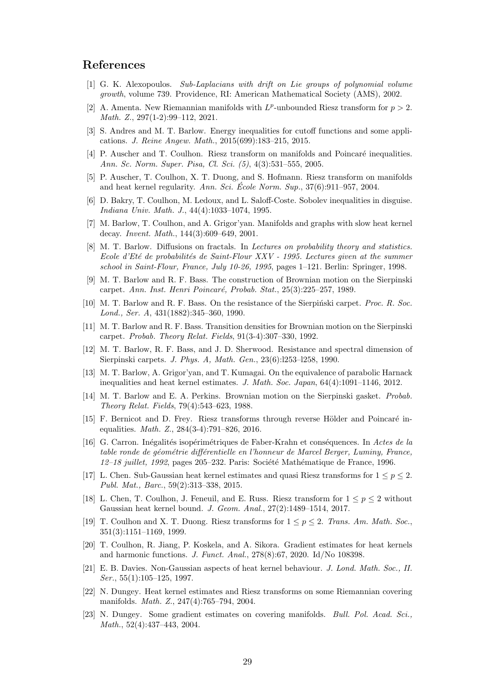### References

- <span id="page-28-15"></span>[1] G. K. Alexopoulos. Sub-Laplacians with drift on Lie groups of polynomial volume growth, volume 739. Providence, RI: American Mathematical Society (AMS), 2002.
- <span id="page-28-11"></span>[2] A. Amenta. New Riemannian manifolds with  $L^p$ -unbounded Riesz transform for  $p > 2$ . Math. Z., 297(1-2):99–112, 2021.
- <span id="page-28-19"></span>[3] S. Andres and M. T. Barlow. Energy inequalities for cutoff functions and some applications. J. Reine Angew. Math., 2015(699):183–215, 2015.
- <span id="page-28-12"></span>[4] P. Auscher and T. Coulhon. Riesz transform on manifolds and Poincaré inequalities. Ann. Sc. Norm. Super. Pisa, Cl. Sci. (5), 4(3):531–555, 2005.
- <span id="page-28-3"></span>[5] P. Auscher, T. Coulhon, X. T. Duong, and S. Hofmann. Riesz transform on manifolds and heat kernel regularity. Ann. Sci. Ecole Norm. Sup.,  $37(6):911-957$ , 2004.
- <span id="page-28-17"></span>[6] D. Bakry, T. Coulhon, M. Ledoux, and L. Saloff-Coste. Sobolev inequalities in disguise. Indiana Univ. Math. J., 44(4):1033–1074, 1995.
- <span id="page-28-20"></span>[7] M. Barlow, T. Coulhon, and A. Grigor'yan. Manifolds and graphs with slow heat kernel decay. Invent. Math., 144(3):609–649, 2001.
- <span id="page-28-21"></span>[8] M. T. Barlow. Diffusions on fractals. In Lectures on probability theory and statistics. Ecole d'Eté de probabilités de Saint-Flour XXV - 1995. Lectures given at the summer school in Saint-Flour, France, July 10-26, 1995, pages 1–121. Berlin: Springer, 1998.
- <span id="page-28-6"></span>[9] M. T. Barlow and R. F. Bass. The construction of Brownian motion on the Sierpinski carpet. Ann. Inst. Henri Poincaré, Probab. Stat., 25(3):225–257, 1989.
- <span id="page-28-7"></span>[10] M. T. Barlow and R. F. Bass. On the resistance of the Sierpinski carpet. *Proc. R. Soc.* Lond., Ser. A, 431(1882):345–360, 1990.
- <span id="page-28-9"></span>[11] M. T. Barlow and R. F. Bass. Transition densities for Brownian motion on the Sierpinski carpet. Probab. Theory Relat. Fields, 91(3-4):307–330, 1992.
- <span id="page-28-8"></span>[12] M. T. Barlow, R. F. Bass, and J. D. Sherwood. Resistance and spectral dimension of Sierpinski carpets. J. Phys. A, Math. Gen., 23(6):l253–l258, 1990.
- <span id="page-28-18"></span>[13] M. T. Barlow, A. Grigor'yan, and T. Kumagai. On the equivalence of parabolic Harnack inequalities and heat kernel estimates. J. Math. Soc. Japan, 64(4):1091–1146, 2012.
- <span id="page-28-5"></span>[14] M. T. Barlow and E. A. Perkins. Brownian motion on the Sierpinski gasket. Probab. Theory Relat. Fields, 79(4):543–623, 1988.
- <span id="page-28-13"></span> $[15]$  F. Bernicot and D. Frey. Riesz transforms through reverse Hölder and Poincaré inequalities. Math. Z., 284(3-4):791–826, 2016.
- <span id="page-28-16"></span>[16] G. Carron. Inégalités isopérimétriques de Faber-Krahn et conséquences. In Actes de la table ronde de géométrie différentielle en l'honneur de Marcel Berger, Luminy, France,  $12-18$  juillet, 1992, pages 205-232. Paris: Société Mathématique de France, 1996.
- <span id="page-28-14"></span>[17] L. Chen. Sub-Gaussian heat kernel estimates and quasi Riesz transforms for  $1 \leq p \leq 2$ . Publ. Mat., Barc., 59(2):313–338, 2015.
- <span id="page-28-10"></span>[18] L. Chen, T. Coulhon, J. Feneuil, and E. Russ. Riesz transform for  $1 \leq p \leq 2$  without Gaussian heat kernel bound. J. Geom. Anal., 27(2):1489–1514, 2017.
- <span id="page-28-2"></span>[19] T. Coulhon and X. T. Duong. Riesz transforms for  $1 \leq p \leq 2$ . Trans. Am. Math. Soc., 351(3):1151–1169, 1999.
- <span id="page-28-4"></span>[20] T. Coulhon, R. Jiang, P. Koskela, and A. Sikora. Gradient estimates for heat kernels and harmonic functions. J. Funct. Anal., 278(8):67, 2020. Id/No 108398.
- <span id="page-28-22"></span>[21] E. B. Davies. Non-Gaussian aspects of heat kernel behaviour. J. Lond. Math. Soc., II. Ser., 55(1):105–125, 1997.
- <span id="page-28-0"></span>[22] N. Dungey. Heat kernel estimates and Riesz transforms on some Riemannian covering manifolds. Math. Z., 247(4):765–794, 2004.
- <span id="page-28-1"></span>[23] N. Dungey. Some gradient estimates on covering manifolds. Bull. Pol. Acad. Sci., Math., 52(4):437–443, 2004.